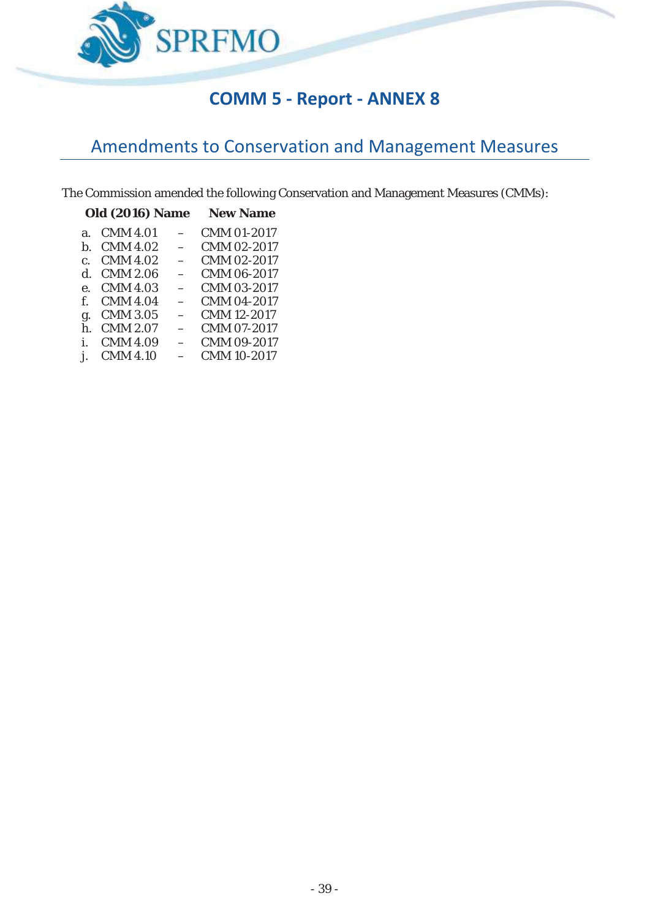

# **COMM 5 - Report - ANNEX 8**

# Amendments to Conservation and Management Measures

The Commission amended the following Conservation and Management Measures (CMMs):

|              | <b>Old (2016) Name</b> | <b>New Name</b> |
|--------------|------------------------|-----------------|
| a.           | CMM 4.01               | CMM 01-2017     |
| h.           | CMM 4.02               | CMM 02-2017     |
| $\mathsf{C}$ | CMM 4.02               | CMM 02-2017     |
| d.           | CMM 2.06               | CMM 06-2017     |
| $\mathsf{e}$ | <b>CMM 4.03</b>        | CMM 03-2017     |
| f            | CMM 4.04               | CMM 04-2017     |
| g.           | CMM 3.05               | CMM 12-2017     |
| h.           | <b>CMM 2.07</b>        | CMM 07-2017     |
| i.           | CMM 4.09               | CMM 09-2017     |
|              | CMM 4.10               | CMM 10-2017     |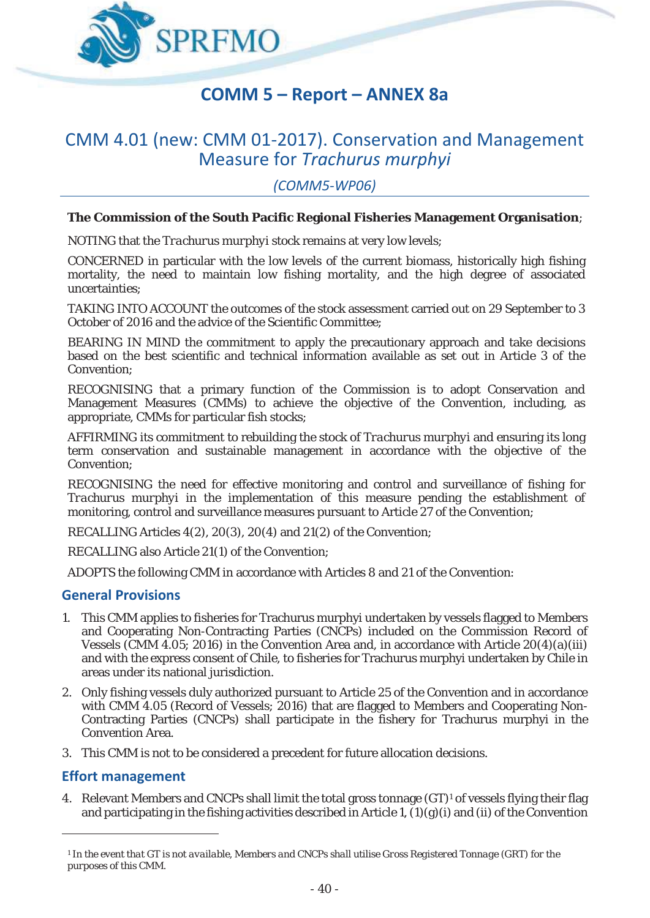

# **COMM 5 – Report – ANNEX 8a**

## CMM 4.01 (new: CMM 01-2017). Conservation and Management Measure for *Trachurus murphyi*

*(COMM5-WP06)* 

#### **The Commission of the South Pacific Regional Fisheries Management Organisation**;

*NOTING* that the *Trachurus murphyi* stock remains at very low levels;

*CONCERNED* in particular with the low levels of the current biomass, historically high fishing mortality, the need to maintain low fishing mortality, and the high degree of associated uncertainties;

*TAKING INTO ACCOUNT* the outcomes of the stock assessment carried out on 29 September to 3 October of 2016 and the advice of the Scientific Committee;

*BEARING IN MIND* the commitment to apply the precautionary approach and take decisions based on the best scientific and technical information available as set out in Article 3 of the Convention;

*RECOGNISING* that a primary function of the Commission is to adopt Conservation and Management Measures (CMMs) to achieve the objective of the Convention, including, as appropriate, CMMs for particular fish stocks;

*AFFIRMING* its commitment to rebuilding the stock of *Trachurus murphyi* and ensuring its long term conservation and sustainable management in accordance with the objective of the Convention;

*RECOGNISING* the need for effective monitoring and control and surveillance of fishing for *Trachurus murphyi* in the implementation of this measure pending the establishment of monitoring, control and surveillance measures pursuant to Article 27 of the Convention;

*RECALLING* Articles 4(2), 20(3), 20(4) and 21(2) of the Convention;

*RECALLING* also Article 21(1) of the Convention;

*ADOPTS* the following CMM in accordance with Articles 8 and 21 of the Convention:

### **General Provisions**

- 1. This CMM applies to fisheries for Trachurus murphyi undertaken by vessels flagged to Members and Cooperating Non-Contracting Parties (CNCPs) included on the Commission Record of Vessels (CMM 4.05; 2016) in the Convention Area and, in accordance with Article 20(4)(a)(iii) and with the express consent of Chile, to fisheries for Trachurus murphyi undertaken by Chile in areas under its national jurisdiction.
- 2. Only fishing vessels duly authorized pursuant to Article 25 of the Convention and in accordance with CMM 4.05 (Record of Vessels; 2016) that are flagged to Members and Cooperating Non-Contracting Parties (CNCPs) shall participate in the fishery for Trachurus murphyi in the Convention Area.
- 3. This CMM is not to be considered a precedent for future allocation decisions.

### **Effort management**

-

4. Relevant Members and CNCPs shall limit the total gross tonnage (GT)<sup>1</sup> of vessels flying their flag and participating in the fishing activities described in Article 1, (1)(g)(i) and (ii) of the Convention

*<sup>1</sup> In the event that GT is not available, Members and CNCPs shall utilise Gross Registered Tonnage (GRT) for the purposes of this CMM.*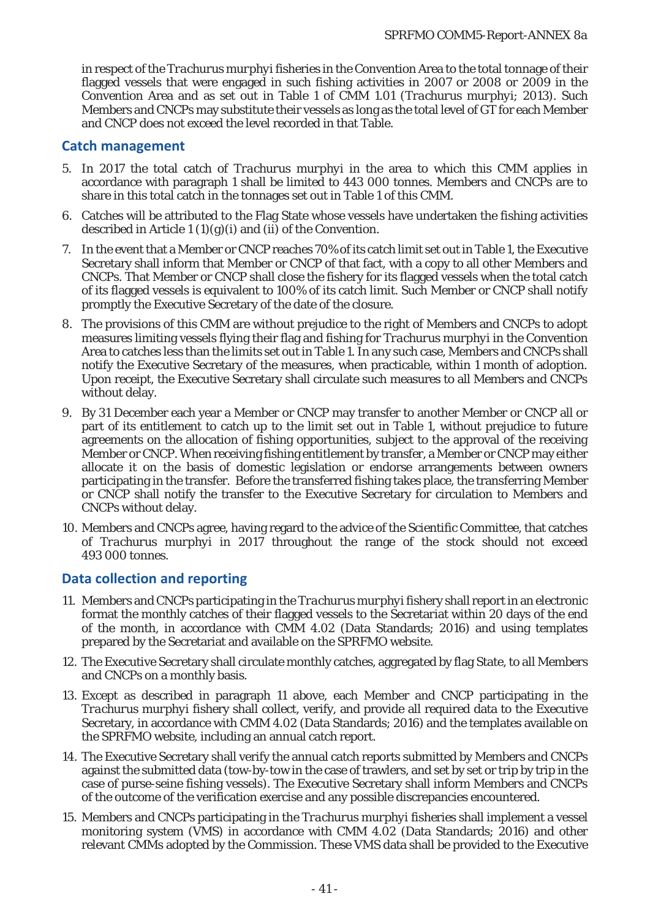in respect of the *Trachurus murphyi* fisheries in the Convention Area to the total tonnage of their flagged vessels that were engaged in such fishing activities in 2007 or 2008 or 2009 in the Convention Area and as set out in Table 1 of CMM 1.01 (*Trachurus murphyi*; 2013). Such Members and CNCPs may substitute their vessels as long as the total level of GT for each Member and CNCP does not exceed the level recorded in that Table.

### **Catch management**

- 5. In 2017 the total catch of *Trachurus murphyi* in the area to which this CMM applies in accordance with paragraph 1 shall be limited to 443 000 tonnes. Members and CNCPs are to share in this total catch in the tonnages set out in Table 1 of this CMM.
- 6. Catches will be attributed to the Flag State whose vessels have undertaken the fishing activities described in Article 1  $(1)(q)(i)$  and  $(ii)$  of the Convention.
- 7. In the event that a Member or CNCP reaches 70% of its catch limit set out in Table 1, the Executive Secretary shall inform that Member or CNCP of that fact, with a copy to all other Members and CNCPs. That Member or CNCP shall close the fishery for its flagged vessels when the total catch of its flagged vessels is equivalent to 100% of its catch limit. Such Member or CNCP shall notify promptly the Executive Secretary of the date of the closure.
- 8. The provisions of this CMM are without prejudice to the right of Members and CNCPs to adopt measures limiting vessels flying their flag and fishing for *Trachurus murphyi* in the Convention Area to catches less than the limits set out in Table 1. In any such case, Members and CNCPs shall notify the Executive Secretary of the measures, when practicable, within 1 month of adoption. Upon receipt, the Executive Secretary shall circulate such measures to all Members and CNCPs without delay.
- 9. By 31 December each year a Member or CNCP may transfer to another Member or CNCP all or part of its entitlement to catch up to the limit set out in Table 1, without prejudice to future agreements on the allocation of fishing opportunities, subject to the approval of the receiving Member or CNCP. When receiving fishing entitlement by transfer, a Member or CNCP may either allocate it on the basis of domestic legislation or endorse arrangements between owners participating in the transfer. Before the transferred fishing takes place, the transferring Member or CNCP shall notify the transfer to the Executive Secretary for circulation to Members and CNCPs without delay.
- 10. Members and CNCPs agree, having regard to the advice of the Scientific Committee, that catches of *Trachurus murphyi* in 2017 throughout the range of the stock should not exceed 493 000 tonnes.

## **Data collection and reporting**

- 11. Members and CNCPs participating in the *Trachurus murphyi* fishery shall report in an electronic format the monthly catches of their flagged vessels to the Secretariat within 20 days of the end of the month, in accordance with CMM 4.02 (Data Standards; 2016) and using templates prepared by the Secretariat and available on the SPRFMO website.
- 12. The Executive Secretary shall circulate monthly catches, aggregated by flag State, to all Members and CNCPs on a monthly basis.
- 13. Except as described in paragraph 11 above, each Member and CNCP participating in the *Trachurus murphyi* fishery shall collect, verify, and provide all required data to the Executive Secretary, in accordance with CMM 4.02 (Data Standards; 2016) and the templates available on the SPRFMO website, including an annual catch report.
- 14. The Executive Secretary shall verify the annual catch reports submitted by Members and CNCPs against the submitted data (tow-by-tow in the case of trawlers, and set by set or trip by trip in the case of purse-seine fishing vessels). The Executive Secretary shall inform Members and CNCPs of the outcome of the verification exercise and any possible discrepancies encountered.
- 15. Members and CNCPs participating in the *Trachurus murphyi* fisheries shall implement a vessel monitoring system (VMS) in accordance with CMM 4.02 (Data Standards; 2016) and other relevant CMMs adopted by the Commission. These VMS data shall be provided to the Executive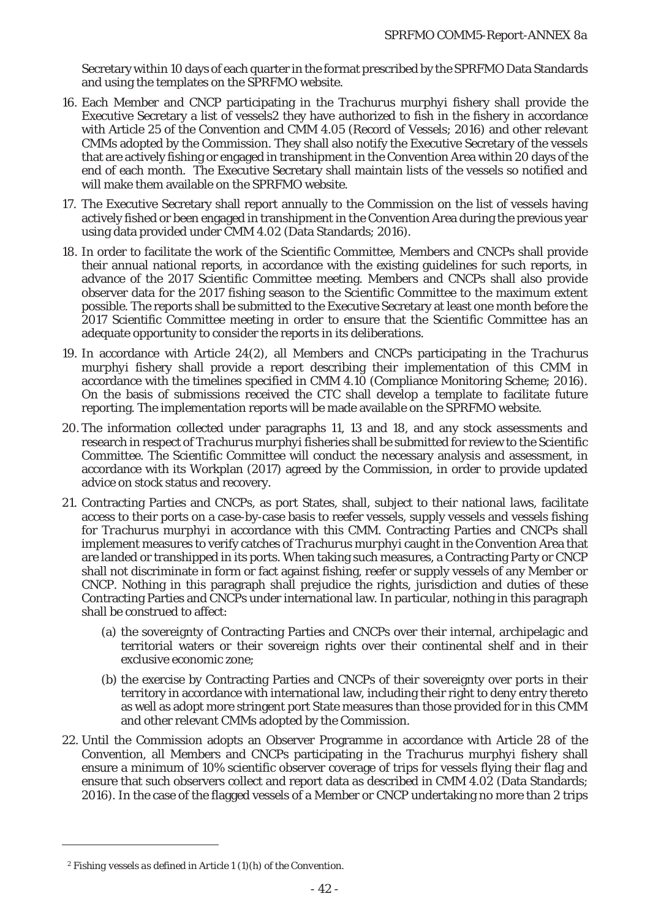Secretary within 10 days of each quarter in the format prescribed by the SPRFMO Data Standards and using the templates on the SPRFMO website.

- 16. Each Member and CNCP participating in the *Trachurus murphyi* fishery shall provide the Executive Secretary a list of vessels2 they have authorized to fish in the fishery in accordance with Article 25 of the Convention and CMM 4.05 (Record of Vessels; 2016) and other relevant CMMs adopted by the Commission. They shall also notify the Executive Secretary of the vessels that are actively fishing or engaged in transhipment in the Convention Area within 20 days of the end of each month. The Executive Secretary shall maintain lists of the vessels so notified and will make them available on the SPRFMO website.
- 17. The Executive Secretary shall report annually to the Commission on the list of vessels having actively fished or been engaged in transhipment in the Convention Area during the previous year using data provided under CMM 4.02 (Data Standards; 2016).
- 18. In order to facilitate the work of the Scientific Committee, Members and CNCPs shall provide their annual national reports, in accordance with the existing guidelines for such reports, in advance of the 2017 Scientific Committee meeting. Members and CNCPs shall also provide observer data for the 2017 fishing season to the Scientific Committee to the maximum extent possible. The reports shall be submitted to the Executive Secretary at least one month before the 2017 Scientific Committee meeting in order to ensure that the Scientific Committee has an adequate opportunity to consider the reports in its deliberations.
- 19. In accordance with Article 24(2), all Members and CNCPs participating in the *Trachurus murphyi* fishery shall provide a report describing their implementation of this CMM in accordance with the timelines specified in CMM 4.10 (Compliance Monitoring Scheme; 2016). On the basis of submissions received the CTC shall develop a template to facilitate future reporting. The implementation reports will be made available on the SPRFMO website.
- 20. The information collected under paragraphs 11, 13 and 18, and any stock assessments and research in respect of *Trachurus murphyi* fisheries shall be submitted for review to the Scientific Committee. The Scientific Committee will conduct the necessary analysis and assessment, in accordance with its Workplan (2017) agreed by the Commission, in order to provide updated advice on stock status and recovery.
- 21. Contracting Parties and CNCPs, as port States, shall, subject to their national laws, facilitate access to their ports on a case-by-case basis to reefer vessels, supply vessels and vessels fishing for *Trachurus murphyi* in accordance with this CMM. Contracting Parties and CNCPs shall implement measures to verify catches of *Trachurus murphyi* caught in the Convention Area that are landed or transhipped in its ports. When taking such measures, a Contracting Party or CNCP shall not discriminate in form or fact against fishing, reefer or supply vessels of any Member or CNCP. Nothing in this paragraph shall prejudice the rights, jurisdiction and duties of these Contracting Parties and CNCPs under international law. In particular, nothing in this paragraph shall be construed to affect:
	- (a) the sovereignty of Contracting Parties and CNCPs over their internal, archipelagic and territorial waters or their sovereign rights over their continental shelf and in their exclusive economic zone;
	- (b) the exercise by Contracting Parties and CNCPs of their sovereignty over ports in their territory in accordance with international law, including their right to deny entry thereto as well as adopt more stringent port State measures than those provided for in this CMM and other relevant CMMs adopted by the Commission.
- 22. Until the Commission adopts an Observer Programme in accordance with Article 28 of the Convention, all Members and CNCPs participating in the *Trachurus murphyi* fishery shall ensure a minimum of 10% scientific observer coverage of trips for vessels flying their flag and ensure that such observers collect and report data as described in CMM 4.02 (Data Standards; 2016). In the case of the flagged vessels of a Member or CNCP undertaking no more than 2 trips

*<sup>2</sup> Fishing vessels as defined in Article 1 (1)(h) of the Convention.*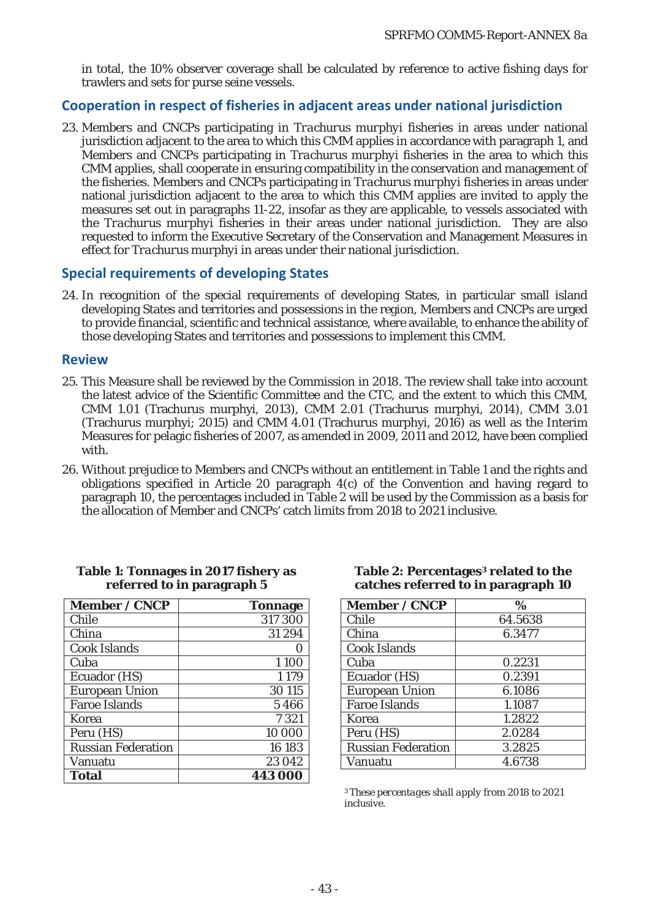in total, the 10% observer coverage shall be calculated by reference to active fishing days for trawlers and sets for purse seine vessels.

### **Cooperation in respect of fisheries in adjacent areas under national jurisdiction**

23. Members and CNCPs participating in *Trachurus murphyi* fisheries in areas under national jurisdiction adjacent to the area to which this CMM applies in accordance with paragraph 1, and Members and CNCPs participating in *Trachurus murphyi* fisheries in the area to which this CMM applies, shall cooperate in ensuring compatibility in the conservation and management of the fisheries. Members and CNCPs participating in *Trachurus murphyi* fisheries in areas under national jurisdiction adjacent to the area to which this CMM applies are invited to apply the measures set out in paragraphs 11-22, insofar as they are applicable, to vessels associated with the *Trachurus murphyi* fisheries in their areas under national jurisdiction. They are also requested to inform the Executive Secretary of the Conservation and Management Measures in effect for *Trachurus murphyi* in areas under their national jurisdiction.

### **Special requirements of developing States**

24. In recognition of the special requirements of developing States, in particular small island developing States and territories and possessions in the region, Members and CNCPs are urged to provide financial, scientific and technical assistance, where available, to enhance the ability of those developing States and territories and possessions to implement this CMM.

#### **Review**

- 25. This Measure shall be reviewed by the Commission in 2018. The review shall take into account the latest advice of the Scientific Committee and the CTC, and the extent to which this CMM, CMM 1.01 (Trachurus murphyi, 2013), CMM 2.01 (Trachurus murphyi, 2014), CMM 3.01 (Trachurus murphyi; 2015) and CMM 4.01 (Trachurus murphyi, 2016) as well as the Interim Measures for pelagic fisheries of 2007, as amended in 2009, 2011 and 2012, have been complied with.
- 26. Without prejudice to Members and CNCPs without an entitlement in Table 1 and the rights and obligations specified in Article 20 paragraph 4(c) of the Convention and having regard to paragraph 10, the percentages included in Table 2 will be used by the Commission as a basis for the allocation of Member and CNCPs' catch limits from 2018 to 2021 inclusive.

| Member / CNCP             | <b>Tonnage</b> |
|---------------------------|----------------|
| Chile                     | 317 300        |
| China                     | 31 294         |
| Cook Islands              |                |
| Cuba                      | 1100           |
| Ecuador (HS)              | 1 1 7 9        |
| <b>European Union</b>     | 30 115         |
| Faroe Islands             | 5466           |
| Korea                     | 7 3 21         |
| Peru (HS)                 | 10 000         |
| <b>Russian Federation</b> | 16 183         |
| Vanuatu                   | 23 042         |
| Total                     | 443 000        |

#### **Table 1: Tonnages in 2017 fishery as referred to in paragraph 5**

#### **Table 2: Percentages3 related to the catches referred to in paragraph 10**

| <b>Member / CNCP</b>      | %       |
|---------------------------|---------|
| Chile                     | 64.5638 |
| China                     | 6.3477  |
| Cook Islands              |         |
| Cuba                      | 0.2231  |
| Ecuador (HS)              | 0.2391  |
| <b>European Union</b>     | 6.1086  |
| Faroe Islands             | 1.1087  |
| Korea                     | 1.2822  |
| Peru (HS)                 | 2.0284  |
| <b>Russian Federation</b> | 3.2825  |
| Vanuatu                   | 4.6738  |

<sup>3</sup>*These percentages shall apply from 2018 to 2021 inclusive*.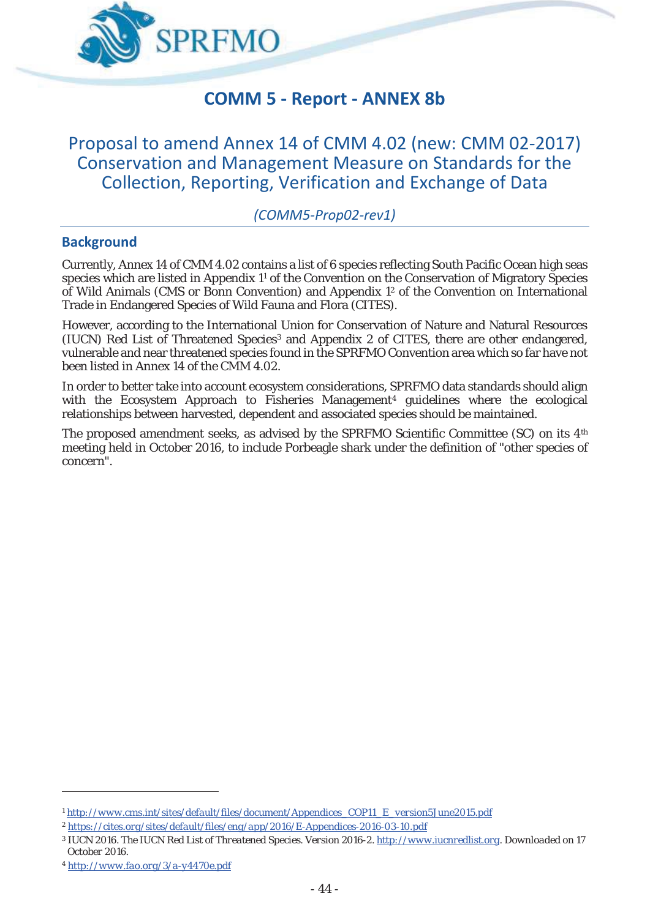

## **COMM 5 - Report - ANNEX 8b**

## Proposal to amend Annex 14 of CMM 4.02 (new: CMM 02-2017) Conservation and Management Measure on Standards for the Collection, Reporting, Verification and Exchange of Data

## *(COMM5-Prop02-rev1)*

## **Background**

Currently, Annex 14 of CMM 4.02 contains a list of 6 species reflecting South Pacific Ocean high seas species which are listed in Appendix 11 of the Convention on the Conservation of Migratory Species of Wild Animals (CMS or Bonn Convention) and Appendix 12 of the Convention on International Trade in Endangered Species of Wild Fauna and Flora (CITES).

However, according to the International Union for Conservation of Nature and Natural Resources (IUCN) Red List of Threatened Species3 and Appendix 2 of CITES, there are other endangered, vulnerable and near threatened species found in the SPRFMO Convention area which so far have not been listed in Annex 14 of the CMM 4.02.

In order to better take into account ecosystem considerations, SPRFMO data standards should align with the Ecosystem Approach to Fisheries Management<sup>4</sup> guidelines where the ecological relationships between harvested, dependent and associated species should be maintained.

The proposed amendment seeks, as advised by the SPRFMO Scientific Committee (SC) on its 4th meeting held in October 2016, to include Porbeagle shark under the definition of "other species of concern".

*<sup>1</sup> http://www.cms.int/sites/default/files/document/Appendices\_COP11\_E\_version5June2015.pdf*

*<sup>2</sup> https://cites.org/sites/default/files/eng/app/2016/E-Appendices-2016-03-10.pdf*

*<sup>3</sup> IUCN 2016. The IUCN Red List of Threatened Species. Version 2016-2. http://www.iucnredlist.org. Downloaded on 17 October 2016.* 

*<sup>4</sup> http://www.fao.org/3/a-y4470e.pdf*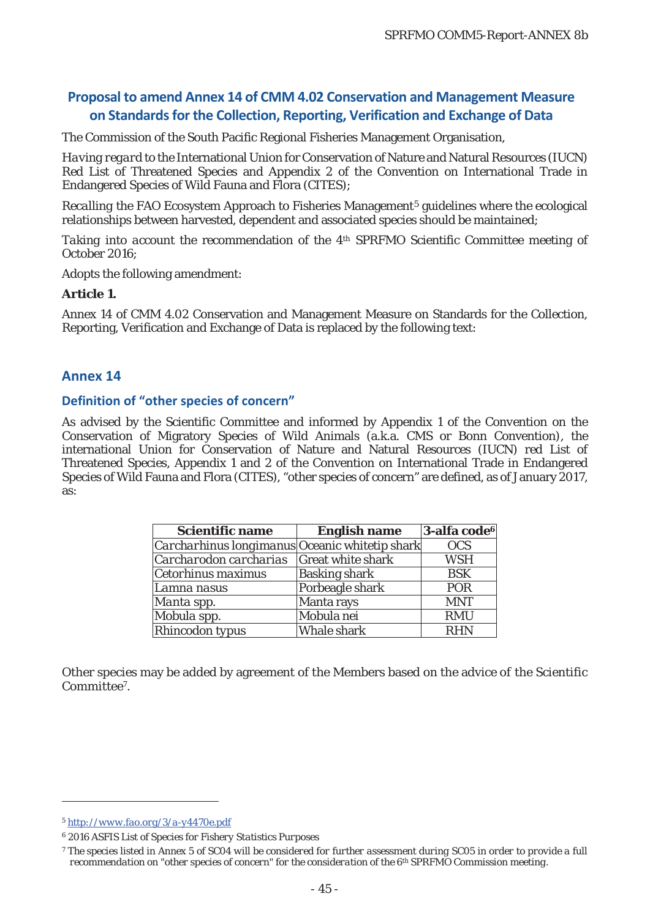## **Proposal to amend Annex 14 of CMM 4.02 Conservation and Management Measure on Standards for the Collection, Reporting, Verification and Exchange of Data**

The Commission of the South Pacific Regional Fisheries Management Organisation,

*Having regard* to the International Union for Conservation of Nature and Natural Resources (IUCN) Red List of Threatened Species and Appendix 2 of the Convention on International Trade in Endangered Species of Wild Fauna and Flora (CITES);

*Recalling* the FAO Ecosystem Approach to Fisheries Management<sup>5</sup> guidelines where the ecological relationships between harvested, dependent and associated species should be maintained;

*Taking into account* the recommendation of the 4<sup>th</sup> SPRFMO Scientific Committee meeting of October 2016;

Adopts the following amendment:

#### **Article 1.**

Annex 14 of CMM 4.02 Conservation and Management Measure on Standards for the Collection, Reporting, Verification and Exchange of Data is replaced by the following text:

### **Annex 14**

#### **Definition of "other species of concern"**

As advised by the Scientific Committee and informed by Appendix 1 of the Convention on the Conservation of Migratory Species of Wild Animals (a.k.a. CMS or Bonn Convention), the international Union for Conservation of Nature and Natural Resources (IUCN) red List of Threatened Species, Appendix 1 and 2 of the Convention on International Trade in Endangered Species of Wild Fauna and Flora (CITES), "other species of concern" are defined, as of January 2017, as:

| <b>Scientific name</b>                         | <b>English name</b>  | 3-alfa code <sup>6</sup> |
|------------------------------------------------|----------------------|--------------------------|
| Carcharhinus longimanus Oceanic whitetip shark |                      | <b>OCS</b>               |
| Carcharodon carcharias                         | Great white shark    | <b>WSH</b>               |
| Cetorhinus maximus                             | <b>Basking shark</b> | <b>BSK</b>               |
| Lamna nasus                                    | Porbeagle shark      | <b>POR</b>               |
| Manta spp.                                     | Manta rays           | <b>MNT</b>               |
| Mobula spp.                                    | Mobula nei           | <b>RMU</b>               |
| Rhincodon typus                                | Whale shark          | <b>RHN</b>               |

Other species may be added by agreement of the Members based on the advice of the Scientific Committee7.

<u>.</u>

*<sup>5</sup> http://www.fao.org/3/a-y4470e.pdf*

*<sup>6 2016</sup> ASFIS List of Species for Fishery Statistics Purposes* 

*<sup>7</sup> The species listed in Annex 5 of SC04 will be considered for further assessment during SC05 in order to provide a full recommendation on "other species of concern" for the consideration of the 6th SPRFMO Commission meeting.*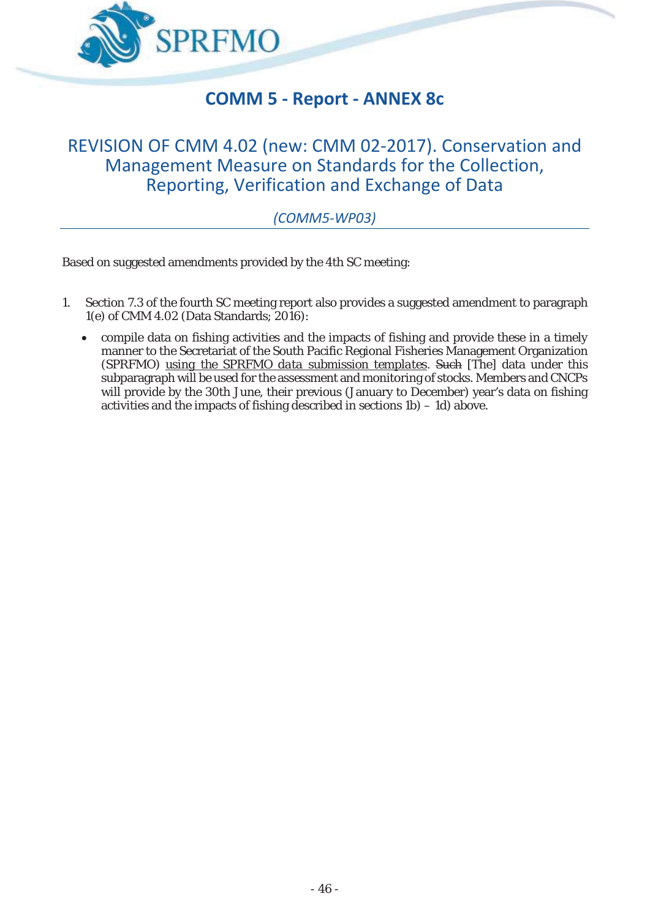

# **COMM 5 - Report - ANNEX 8c**

## REVISION OF CMM 4.02 (new: CMM 02-2017). Conservation and Management Measure on Standards for the Collection, Reporting, Verification and Exchange of Data

## *(COMM5-WP03)*

Based on suggested amendments provided by the 4th SC meeting:

- 1. Section 7.3 of the fourth SC meeting report also provides a suggested amendment to paragraph 1(e) of CMM 4.02 (Data Standards; 2016):
	- compile data on fishing activities and the impacts of fishing and provide these in a timely manner to the Secretariat of the South Pacific Regional Fisheries Management Organization (SPRFMO) *using the SPRFMO data submission templates*. Such [The] data under this subparagraph will be used for the assessment and monitoring of stocks. Members and CNCPs will provide by the 30th June, their previous (January to December) year's data on fishing activities and the impacts of fishing described in sections 1b) – 1d) above.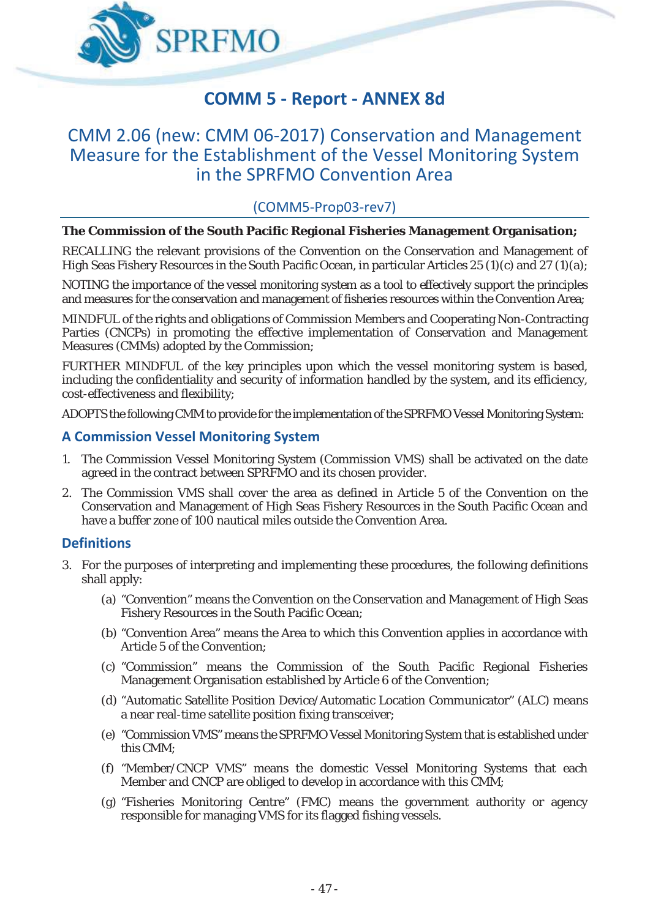

# **COMM 5 - Report - ANNEX 8d**

## CMM 2.06 (new: CMM 06-2017) Conservation and Management Measure for the Establishment of the Vessel Monitoring System in the SPRFMO Convention Area

## (COMM5-Prop03-rev7)

#### **The Commission of the South Pacific Regional Fisheries Management Organisation;**

*RECALLING* the relevant provisions of the Convention on the Conservation and Management of High Seas Fishery Resources in the South Pacific Ocean, in particular Articles 25 (1)(c) and 27 (1)(a);

*NOTING* the importance of the vessel monitoring system as a tool to effectively support the principles and measures for the conservation and management of fisheries resources within the Convention Area;

*MINDFUL* of the rights and obligations of Commission Members and Cooperating Non-Contracting Parties (CNCPs) in promoting the effective implementation of Conservation and Management Measures (CMMs) adopted by the Commission;

*FURTHER MINDFUL* of the key principles upon which the vessel monitoring system is based, including the confidentiality and security of information handled by the system, and its efficiency, cost-effectiveness and flexibility;

*ADOPTS* the following CMM to provide for the implementation of the SPRFMO Vessel Monitoring System:

### **A Commission Vessel Monitoring System**

- 1. The Commission Vessel Monitoring System (Commission VMS) shall be activated on the date agreed in the contract between SPRFMO and its chosen provider.
- 2. The Commission VMS shall cover the area as defined in Article 5 of the Convention on the Conservation and Management of High Seas Fishery Resources in the South Pacific Ocean and have a buffer zone of 100 nautical miles outside the Convention Area.

## **Definitions**

- 3. For the purposes of interpreting and implementing these procedures, the following definitions shall apply:
	- (a) "Convention" means the Convention on the Conservation and Management of High Seas Fishery Resources in the South Pacific Ocean;
	- (b) "Convention Area" means the Area to which this Convention applies in accordance with Article 5 of the Convention;
	- (c) "Commission" means the Commission of the South Pacific Regional Fisheries Management Organisation established by Article 6 of the Convention;
	- (d) "Automatic Satellite Position Device/Automatic Location Communicator" (ALC) means a near real-time satellite position fixing transceiver;
	- (e) "Commission VMS" means the SPRFMO Vessel Monitoring System that is established under this CMM;
	- (f) "Member/CNCP VMS" means the domestic Vessel Monitoring Systems that each Member and CNCP are obliged to develop in accordance with this CMM;
	- (g) "Fisheries Monitoring Centre" (FMC) means the government authority or agency responsible for managing VMS for its flagged fishing vessels.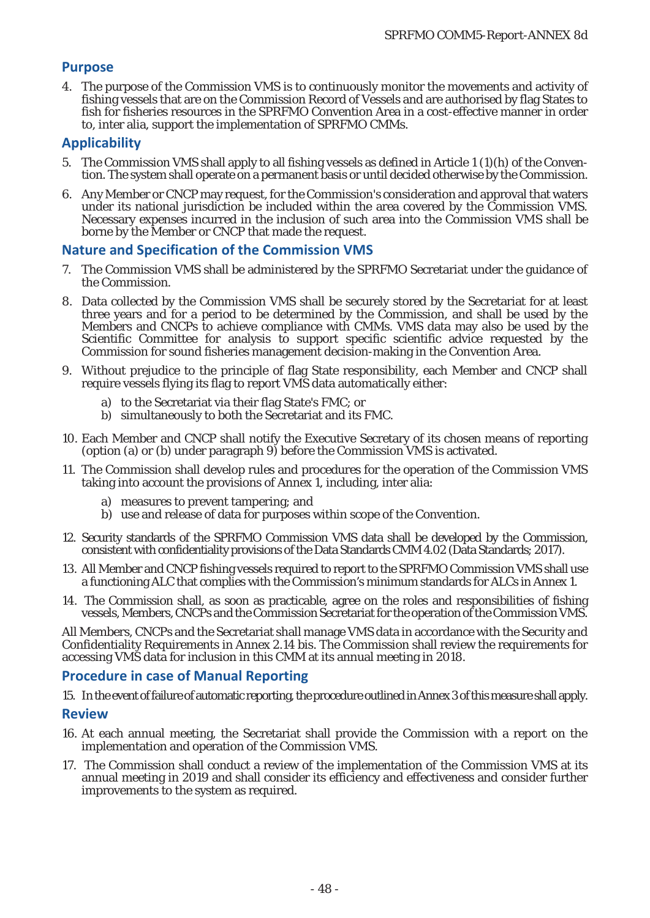### **Purpose**

4. The purpose of the Commission VMS is to continuously monitor the movements and activity of fishing vessels that are on the Commission Record of Vessels and are authorised by flag States to fish for fisheries resources in the SPRFMO Convention Area in a cost-effective manner in order to, inter alia, support the implementation of SPRFMO CMMs.

## **Applicability**

- 5. The Commission VMS shall apply to all fishing vessels as defined in Article 1 (1)(h) of the Convention. The system shall operate on a permanent basis or until decided otherwise by the Commission.
- 6. Any Member or CNCP may request, for the Commission's consideration and approval that waters under its national jurisdiction be included within the area covered by the Commission VMS. Necessary expenses incurred in the inclusion of such area into the Commission VMS shall be borne by the Member or CNCP that made the request.

### **Nature and Specification of the Commission VMS**

- 7. The Commission VMS shall be administered by the SPRFMO Secretariat under the guidance of the Commission.
- 8. Data collected by the Commission VMS shall be securely stored by the Secretariat for at least three years and for a period to be determined by the Commission, and shall be used by the Members and CNCPs to achieve compliance with CMMs. VMS data may also be used by the Scientific Committee for analysis to support specific scientific advice requested by the Commission for sound fisheries management decision-making in the Convention Area.
- 9. Without prejudice to the principle of flag State responsibility, each Member and CNCP shall require vessels flying its flag to report VMS data automatically either:
	- a) to the Secretariat via their flag State's FMC; or
	- b) simultaneously to both the Secretariat and its FMC.
- 10. Each Member and CNCP shall notify the Executive Secretary of its chosen means of reporting (option (a) or (b) under paragraph 9) before the Commission VMS is activated.
- 11. The Commission shall develop rules and procedures for the operation of the Commission VMS taking into account the provisions of Annex 1, including, inter alia:
	- a) measures to prevent tampering; and
	- b) use and release of data for purposes within scope of the Convention.
- 12. Security standards of the SPRFMO Commission VMS data shall be developed by the Commission, consistent with confidentiality provisions of the Data Standards CMM 4.02 (Data Standards; 2017).
- 13. All Member and CNCP fishing vessels required to report to the SPRFMO Commission VMS shall use a functioning ALC that complies with the Commission's minimum standards for ALCs in Annex 1.
- 14. The Commission shall, as soon as practicable, agree on the roles and responsibilities of fishing vessels, Members, CNCPs and the Commission Secretariat for the operation of the Commission VMS.

All Members, CNCPs and the Secretariat shall manage VMS data in accordance with the Security and Confidentiality Requirements in Annex 2.14 bis. The Commission shall review the requirements for accessing VMS data for inclusion in this CMM at its annual meeting in 2018.

### **Procedure in case of Manual Reporting**

15. In the event of failure of automatic reporting, the procedure outlined in Annex 3 of this measure shall apply.

#### **Review**

- 16. At each annual meeting, the Secretariat shall provide the Commission with a report on the implementation and operation of the Commission VMS.
- 17. The Commission shall conduct a review of the implementation of the Commission VMS at its annual meeting in 2019 and shall consider its efficiency and effectiveness and consider further improvements to the system as required.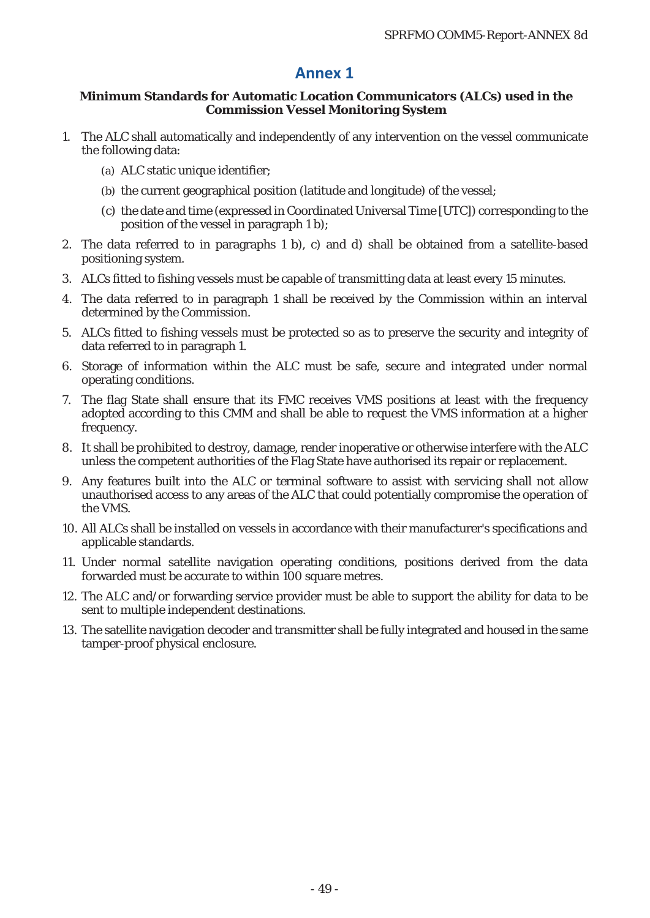## **Annex 1**

#### **Minimum Standards for Automatic Location Communicators (ALCs) used in the Commission Vessel Monitoring System**

- 1. The ALC shall automatically and independently of any intervention on the vessel communicate the following data:
	- (a) ALC static unique identifier;
	- (b) the current geographical position (latitude and longitude) of the vessel;
	- (c) the date and time (expressed in Coordinated Universal Time [UTC]) corresponding to the position of the vessel in paragraph 1 b);
- 2. The data referred to in paragraphs 1 b), c) and d) shall be obtained from a satellite-based positioning system.
- 3. ALCs fitted to fishing vessels must be capable of transmitting data at least every 15 minutes.
- 4. The data referred to in paragraph 1 shall be received by the Commission within an interval determined by the Commission.
- 5. ALCs fitted to fishing vessels must be protected so as to preserve the security and integrity of data referred to in paragraph 1.
- 6. Storage of information within the ALC must be safe, secure and integrated under normal operating conditions.
- 7. The flag State shall ensure that its FMC receives VMS positions at least with the frequency adopted according to this CMM and shall be able to request the VMS information at a higher frequency.
- 8. It shall be prohibited to destroy, damage, render inoperative or otherwise interfere with the ALC unless the competent authorities of the Flag State have authorised its repair or replacement.
- 9. Any features built into the ALC or terminal software to assist with servicing shall not allow unauthorised access to any areas of the ALC that could potentially compromise the operation of the VMS.
- 10. All ALCs shall be installed on vessels in accordance with their manufacturer's specifications and applicable standards.
- 11. Under normal satellite navigation operating conditions, positions derived from the data forwarded must be accurate to within 100 square metres.
- 12. The ALC and/or forwarding service provider must be able to support the ability for data to be sent to multiple independent destinations.
- 13. The satellite navigation decoder and transmitter shall be fully integrated and housed in the same tamper-proof physical enclosure.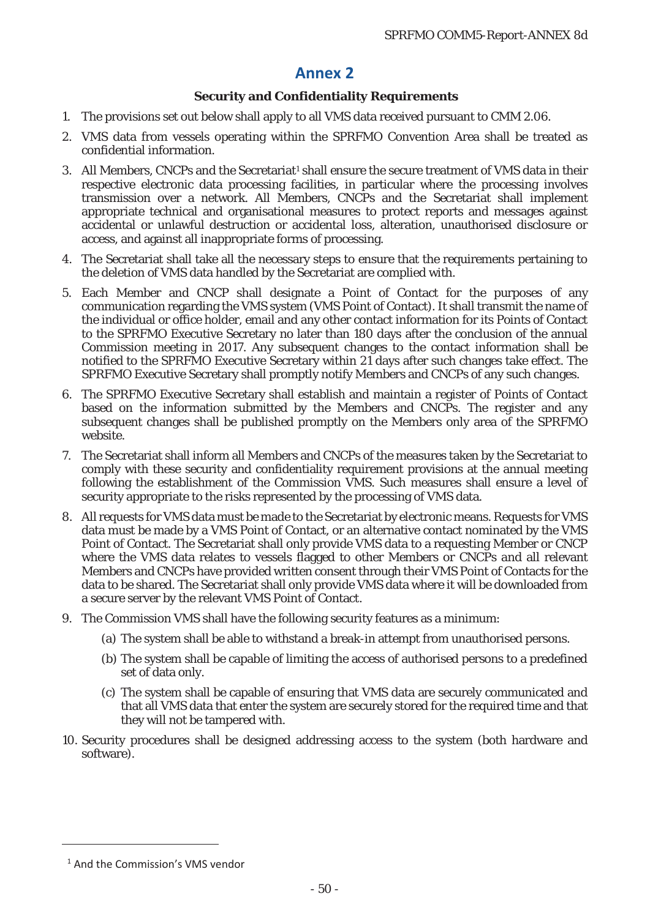## **Annex 2**

#### **Security and Confidentiality Requirements**

- 1. The provisions set out below shall apply to all VMS data received pursuant to CMM 2.06.
- 2. VMS data from vessels operating within the SPRFMO Convention Area shall be treated as confidential information.
- 3. All Members, CNCPs and the Secretariat<sup>1</sup> shall ensure the secure treatment of VMS data in their respective electronic data processing facilities, in particular where the processing involves transmission over a network. All Members, CNCPs and the Secretariat shall implement appropriate technical and organisational measures to protect reports and messages against accidental or unlawful destruction or accidental loss, alteration, unauthorised disclosure or access, and against all inappropriate forms of processing.
- 4. The Secretariat shall take all the necessary steps to ensure that the requirements pertaining to the deletion of VMS data handled by the Secretariat are complied with.
- 5. Each Member and CNCP shall designate a Point of Contact for the purposes of any communication regarding the VMS system (VMS Point of Contact). It shall transmit the name of the individual or office holder, email and any other contact information for its Points of Contact to the SPRFMO Executive Secretary no later than 180 days after the conclusion of the annual Commission meeting in 2017. Any subsequent changes to the contact information shall be notified to the SPRFMO Executive Secretary within 21 days after such changes take effect. The SPRFMO Executive Secretary shall promptly notify Members and CNCPs of any such changes.
- 6. The SPRFMO Executive Secretary shall establish and maintain a register of Points of Contact based on the information submitted by the Members and CNCPs. The register and any subsequent changes shall be published promptly on the Members only area of the SPRFMO website.
- 7. The Secretariat shall inform all Members and CNCPs of the measures taken by the Secretariat to comply with these security and confidentiality requirement provisions at the annual meeting following the establishment of the Commission VMS. Such measures shall ensure a level of security appropriate to the risks represented by the processing of VMS data.
- 8. All requests for VMS data must be made to the Secretariat by electronic means. Requests for VMS data must be made by a VMS Point of Contact, or an alternative contact nominated by the VMS Point of Contact. The Secretariat shall only provide VMS data to a requesting Member or CNCP where the VMS data relates to vessels flagged to other Members or CNCPs and all relevant Members and CNCPs have provided written consent through their VMS Point of Contacts for the data to be shared. The Secretariat shall only provide VMS data where it will be downloaded from a secure server by the relevant VMS Point of Contact.
- 9. The Commission VMS shall have the following security features as a minimum:
	- (a) The system shall be able to withstand a break-in attempt from unauthorised persons.
	- (b) The system shall be capable of limiting the access of authorised persons to a predefined set of data only.
	- (c) The system shall be capable of ensuring that VMS data are securely communicated and that all VMS data that enter the system are securely stored for the required time and that they will not be tampered with.
- 10. Security procedures shall be designed addressing access to the system (both hardware and software).

<sup>&</sup>lt;sup>1</sup> And the Commission's VMS vendor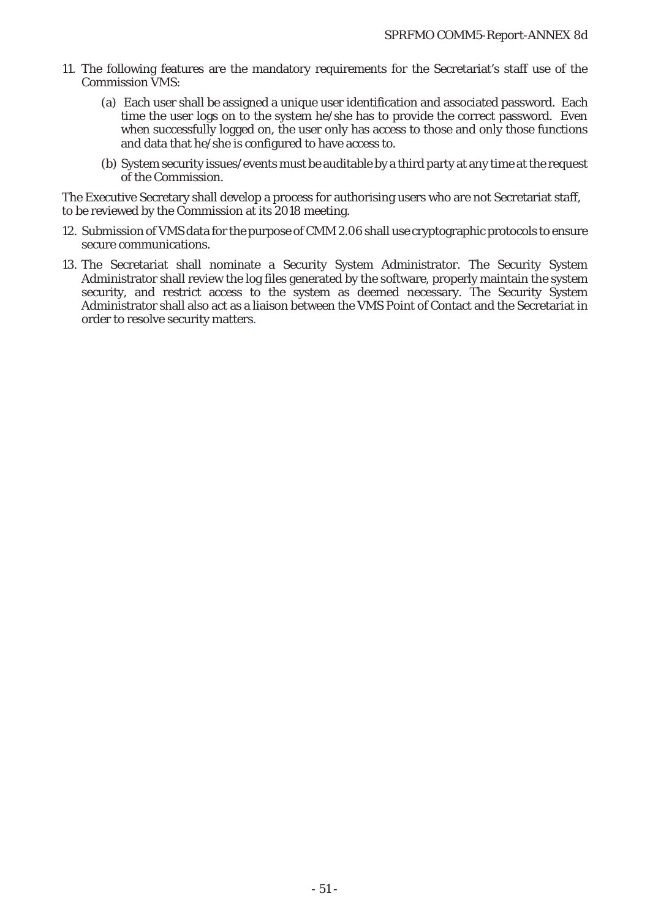- 11. The following features are the mandatory requirements for the Secretariat's staff use of the Commission VMS:
	- (a) Each user shall be assigned a unique user identification and associated password. Each time the user logs on to the system he/she has to provide the correct password. Even when successfully logged on, the user only has access to those and only those functions and data that he/she is configured to have access to.
	- (b) System security issues/events must be auditable by a third party at any time at the request of the Commission.

The Executive Secretary shall develop a process for authorising users who are not Secretariat staff, to be reviewed by the Commission at its 2018 meeting.

- 12. Submission of VMS data for the purpose of CMM 2.06 shall use cryptographic protocols to ensure secure communications.
- 13. The Secretariat shall nominate a Security System Administrator. The Security System Administrator shall review the log files generated by the software, properly maintain the system security, and restrict access to the system as deemed necessary. The Security System Administrator shall also act as a liaison between the VMS Point of Contact and the Secretariat in order to resolve security matters.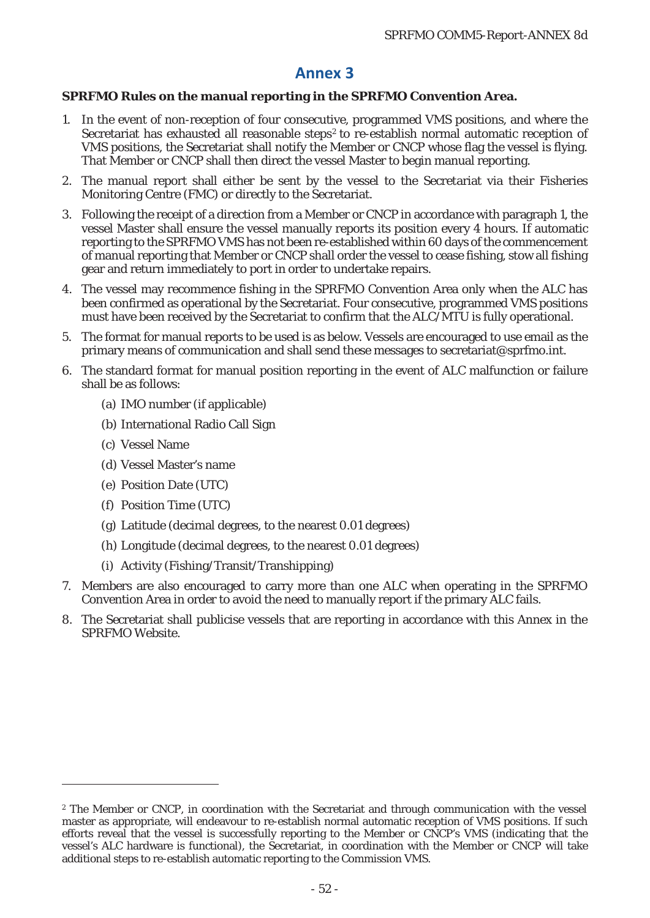## **Annex 3**

#### **SPRFMO Rules on the manual reporting in the SPRFMO Convention Area.**

- 1. In the event of non-reception of four consecutive, programmed VMS positions, and where the Secretariat has exhausted all reasonable steps<sup>2</sup> to re-establish normal automatic reception of VMS positions, the Secretariat shall notify the Member or CNCP whose flag the vessel is flying. That Member or CNCP shall then direct the vessel Master to begin manual reporting.
- 2. The manual report shall either be sent by the vessel to the Secretariat via their Fisheries Monitoring Centre (FMC) or directly to the Secretariat.
- 3. Following the receipt of a direction from a Member or CNCP in accordance with paragraph 1, the vessel Master shall ensure the vessel manually reports its position every 4 hours. If automatic reporting to the SPRFMO VMS has not been re-established within 60 days of the commencement of manual reporting that Member or CNCP shall order the vessel to cease fishing, stow all fishing gear and return immediately to port in order to undertake repairs.
- 4. The vessel may recommence fishing in the SPRFMO Convention Area only when the ALC has been confirmed as operational by the Secretariat. Four consecutive, programmed VMS positions must have been received by the Secretariat to confirm that the ALC/MTU is fully operational.
- 5. The format for manual reports to be used is as below. Vessels are encouraged to use email as the primary means of communication and shall send these messages to secretariat@sprfmo.int.
- 6. The standard format for manual position reporting in the event of ALC malfunction or failure shall be as follows:
	- (a) IMO number (if applicable)
	- (b) International Radio Call Sign
	- (c) Vessel Name

- (d) Vessel Master's name
- (e) Position Date (UTC)
- (f) Position Time (UTC)
- (g) Latitude (decimal degrees, to the nearest 0.01 degrees)
- (h) Longitude (decimal degrees, to the nearest 0.01 degrees)
- (i) Activity (Fishing/Transit/Transhipping)
- 7. Members are also encouraged to carry more than one ALC when operating in the SPRFMO Convention Area in order to avoid the need to manually report if the primary ALC fails.
- 8. The Secretariat shall publicise vessels that are reporting in accordance with this Annex in the SPRFMO Website.

<sup>2</sup> The Member or CNCP, in coordination with the Secretariat and through communication with the vessel master as appropriate, will endeavour to re-establish normal automatic reception of VMS positions. If such efforts reveal that the vessel is successfully reporting to the Member or CNCP's VMS (indicating that the vessel's ALC hardware is functional), the Secretariat, in coordination with the Member or CNCP will take additional steps to re-establish automatic reporting to the Commission VMS.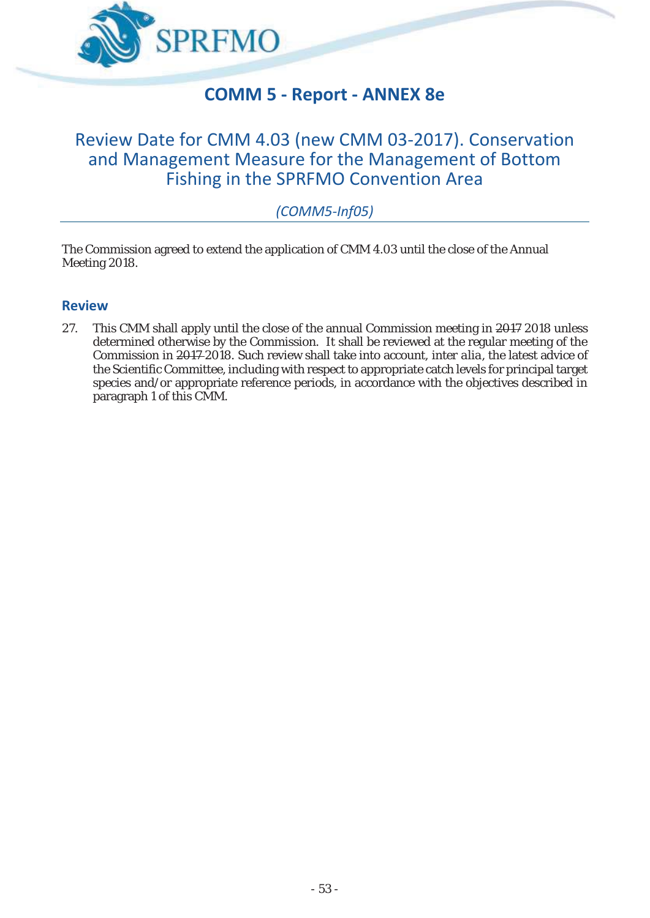

## **COMM 5 - Report - ANNEX 8e**

## Review Date for CMM 4.03 (new CMM 03-2017). Conservation and Management Measure for the Management of Bottom Fishing in the SPRFMO Convention Area

*(COMM5-Inf05)* 

The Commission agreed to extend the application of CMM 4.03 until the close of the Annual Meeting 2018.

### **Review**

27. This CMM shall apply until the close of the annual Commission meeting in 2017 2018 unless determined otherwise by the Commission. It shall be reviewed at the regular meeting of the Commission in 2017 2018. Such review shall take into account, *inter alia*, the latest advice of the Scientific Committee, including with respect to appropriate catch levels for principal target species and/or appropriate reference periods, in accordance with the objectives described in paragraph 1 of this CMM.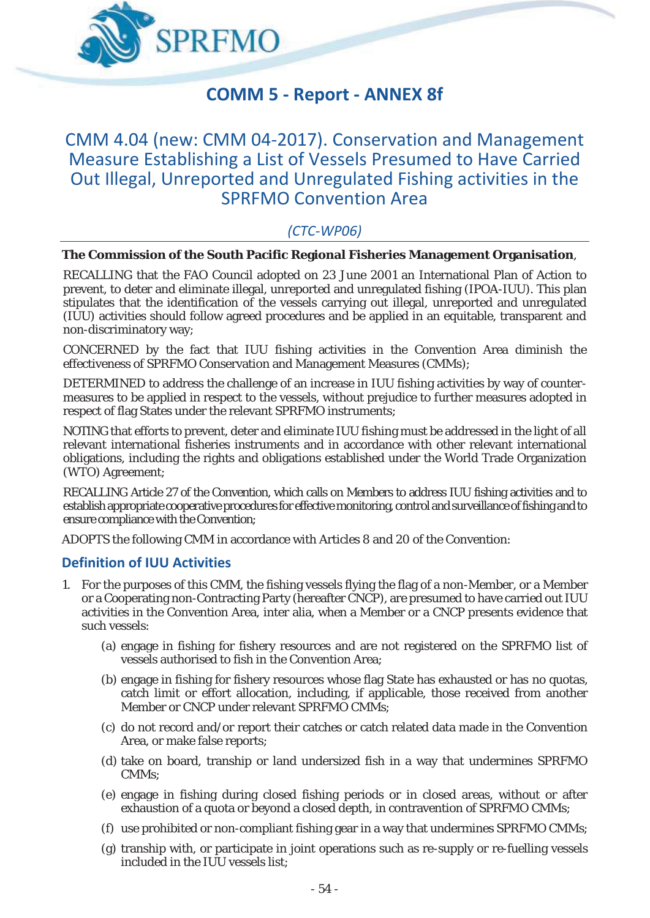

## **COMM 5 - Report - ANNEX 8f**

## CMM 4.04 (new: CMM 04-2017). Conservation and Management Measure Establishing a List of Vessels Presumed to Have Carried Out Illegal, Unreported and Unregulated Fishing activities in the SPRFMO Convention Area

## *(CTC-WP06)*

### **The Commission of the South Pacific Regional Fisheries Management Organisation**,

*RECALLING* that the FAO Council adopted on 23 June 2001 an International Plan of Action to prevent, to deter and eliminate illegal, unreported and unregulated fishing (IPOA-IUU). This plan stipulates that the identification of the vessels carrying out illegal, unreported and unregulated (IUU) activities should follow agreed procedures and be applied in an equitable, transparent and non-discriminatory way;

*CONCERNED* by the fact that IUU fishing activities in the Convention Area diminish the effectiveness of SPRFMO Conservation and Management Measures (CMMs);

*DETERMINED* to address the challenge of an increase in IUU fishing activities by way of countermeasures to be applied in respect to the vessels, without prejudice to further measures adopted in respect of flag States under the relevant SPRFMO instruments;

*NOTING* that efforts to prevent, deter and eliminate IUU fishing must be addressed in the light of all relevant international fisheries instruments and in accordance with other relevant international obligations, including the rights and obligations established under the World Trade Organization (WTO) Agreement;

*RECALLING* Article 27 of the Convention, which calls on Members to address IUU fishing activities and to establish appropriate cooperative procedures for effective monitoring, control and surveillance of fishing and to ensure compliance with the Convention;

*ADOPTS* the following CMM in accordance with Articles 8 and 20 of the Convention:

## **Definition of IUU Activities**

- 1. For the purposes of this CMM, the fishing vessels flying the flag of a non-Member, or a Member or a Cooperating non-Contracting Party (hereafter CNCP), are presumed to have carried out IUU activities in the Convention Area, inter alia, when a Member or a CNCP presents evidence that such vessels:
	- (a) engage in fishing for fishery resources and are not registered on the SPRFMO list of vessels authorised to fish in the Convention Area;
	- (b) engage in fishing for fishery resources whose flag State has exhausted or has no quotas, catch limit or effort allocation, including, if applicable, those received from another Member or CNCP under relevant SPRFMO CMMs;
	- (c) do not record and/or report their catches or catch related data made in the Convention Area, or make false reports;
	- (d) take on board, tranship or land undersized fish in a way that undermines SPRFMO CMMs;
	- (e) engage in fishing during closed fishing periods or in closed areas, without or after exhaustion of a quota or beyond a closed depth, in contravention of SPRFMO CMMs;
	- (f) use prohibited or non-compliant fishing gear in a way that undermines SPRFMO CMMs;
	- (g) tranship with, or participate in joint operations such as re-supply or re-fuelling vessels included in the IUU vessels list;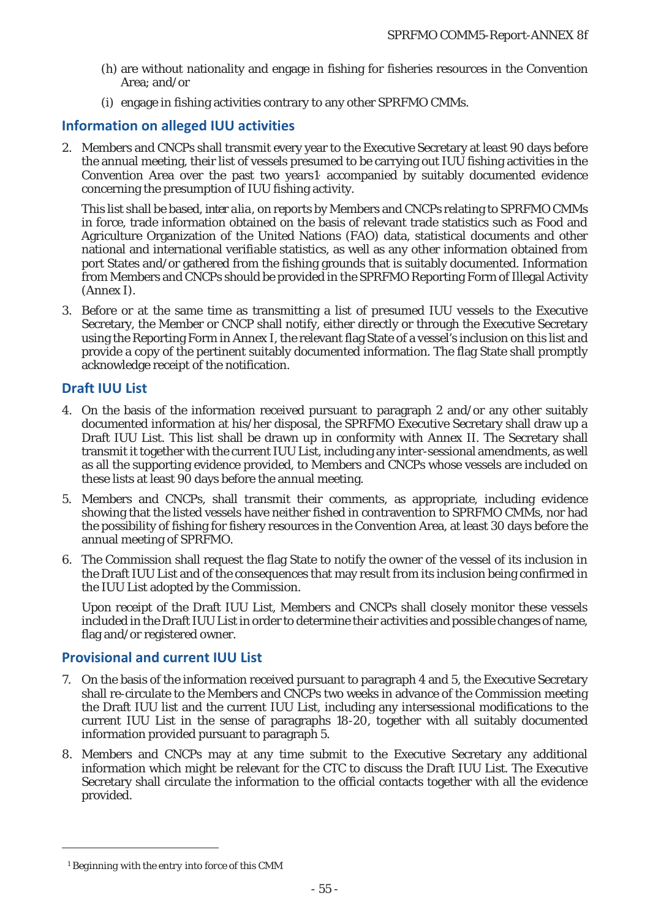- (h) are without nationality and engage in fishing for fisheries resources in the Convention Area; and/or
- (i) engage in fishing activities contrary to any other SPRFMO CMMs.

## **Information on alleged IUU activities**

2. Members and CNCPs shall transmit every year to the Executive Secretary at least 90 days before the annual meeting, their list of vessels presumed to be carrying out IUU fishing activities in the Convention Area over the past two years1 accompanied by suitably documented evidence concerning the presumption of IUU fishing activity.

This list shall be based, *inter alia,* on reports by Members and CNCPs relating to SPRFMO CMMs in force, trade information obtained on the basis of relevant trade statistics such as Food and Agriculture Organization of the United Nations (FAO) data, statistical documents and other national and international verifiable statistics, as well as any other information obtained from port States and/or gathered from the fishing grounds that is suitably documented. Information from Members and CNCPs should be provided in the SPRFMO Reporting Form of Illegal Activity (Annex I).

3. Before or at the same time as transmitting a list of presumed IUU vessels to the Executive Secretary, the Member or CNCP shall notify, either directly or through the Executive Secretary using the Reporting Form in Annex I, the relevant flag State of a vessel's inclusion on this list and provide a copy of the pertinent suitably documented information. The flag State shall promptly acknowledge receipt of the notification.

## **Draft IUU List**

- 4. On the basis of the information received pursuant to paragraph 2 and/or any other suitably documented information at his/her disposal, the SPRFMO Executive Secretary shall draw up a Draft IUU List. This list shall be drawn up in conformity with Annex II. The Secretary shall transmit it together with the current IUU List, including any inter-sessional amendments, as well as all the supporting evidence provided, to Members and CNCPs whose vessels are included on these lists at least 90 days before the annual meeting.
- 5. Members and CNCPs, shall transmit their comments, as appropriate, including evidence showing that the listed vessels have neither fished in contravention to SPRFMO CMMs, nor had the possibility of fishing for fishery resources in the Convention Area, at least 30 days before the annual meeting of SPRFMO.
- 6. The Commission shall request the flag State to notify the owner of the vessel of its inclusion in the Draft IUU List and of the consequences that may result from its inclusion being confirmed in the IUU List adopted by the Commission.

Upon receipt of the Draft IUU List, Members and CNCPs shall closely monitor these vessels included in the Draft IUU List in order to determine their activities and possible changes of name, flag and/or registered owner.

## **Provisional and current IUU List**

- 7. On the basis of the information received pursuant to paragraph 4 and 5, the Executive Secretary shall re-circulate to the Members and CNCPs two weeks in advance of the Commission meeting the Draft IUU list and the current IUU List, including any intersessional modifications to the current IUU List in the sense of paragraphs 18-20, together with all suitably documented information provided pursuant to paragraph 5.
- 8. Members and CNCPs may at any time submit to the Executive Secretary any additional information which might be relevant for the CTC to discuss the Draft IUU List. The Executive Secretary shall circulate the information to the official contacts together with all the evidence provided.

*<sup>1</sup> Beginning with the entry into force of this CMM*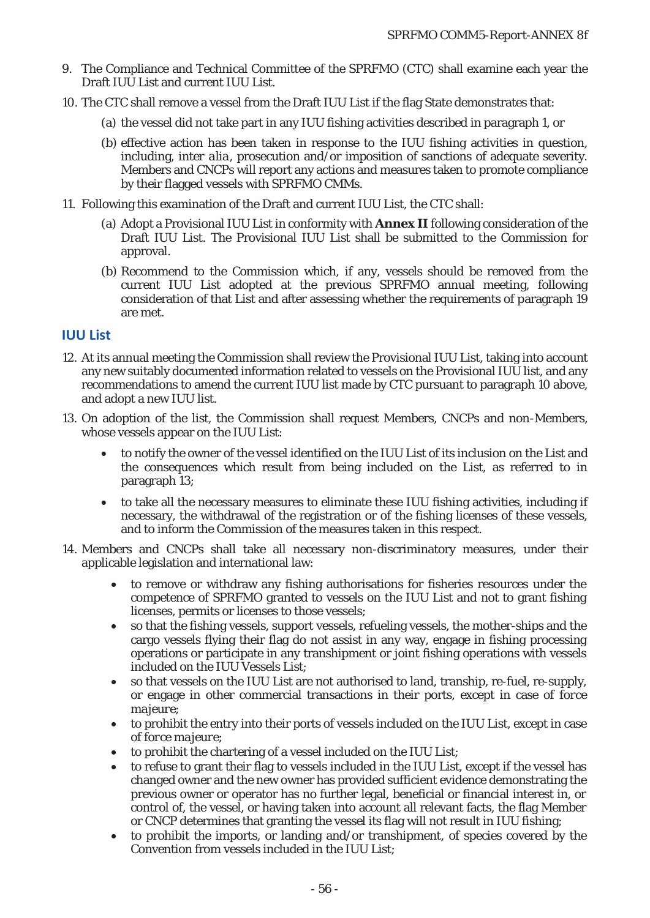- 9. The Compliance and Technical Committee of the SPRFMO (CTC) shall examine each year the Draft IUU List and current IUU List.
- 10. The CTC shall remove a vessel from the Draft IUU List if the flag State demonstrates that:
	- (a) the vessel did not take part in any IUU fishing activities described in paragraph 1, or
	- (b) effective action has been taken in response to the IUU fishing activities in question, including, *inter alia,* prosecution and/or imposition of sanctions of adequate severity. Members and CNCPs will report any actions and measures taken to promote compliance by their flagged vessels with SPRFMO CMMs.
- 11. Following this examination of the Draft and current IUU List, the CTC shall:
	- (a) Adopt a Provisional IUU List in conformity with **Annex II** following consideration of the Draft IUU List. The Provisional IUU List shall be submitted to the Commission for approval.
	- (b) Recommend to the Commission which, if any, vessels should be removed from the current IUU List adopted at the previous SPRFMO annual meeting, following consideration of that List and after assessing whether the requirements of paragraph 19 are met.

### **IUU List**

- 12. At its annual meeting the Commission shall review the Provisional IUU List, taking into account any new suitably documented information related to vessels on the Provisional IUU list, and any recommendations to amend the current IUU list made by CTC pursuant to paragraph 10 above, and adopt a new IUU list.
- 13. On adoption of the list, the Commission shall request Members, CNCPs and non-Members, whose vessels appear on the IUU List:
	- to notify the owner of the vessel identified on the IUU List of its inclusion on the List and the consequences which result from being included on the List, as referred to in paragraph 13;
	- to take all the necessary measures to eliminate these IUU fishing activities, including if necessary, the withdrawal of the registration or of the fishing licenses of these vessels, and to inform the Commission of the measures taken in this respect.
- 14. Members and CNCPs shall take all necessary non-discriminatory measures, under their applicable legislation and international law:
	- to remove or withdraw any fishing authorisations for fisheries resources under the competence of SPRFMO granted to vessels on the IUU List and not to grant fishing licenses, permits or licenses to those vessels;
	- so that the fishing vessels, support vessels, refueling vessels, the mother-ships and the cargo vessels flying their flag do not assist in any way, engage in fishing processing operations or participate in any transhipment or joint fishing operations with vessels included on the IUU Vessels List;
	- so that vessels on the IUU List are not authorised to land, tranship, re-fuel, re-supply, or engage in other commercial transactions in their ports, except in case of *force majeure*;
	- to prohibit the entry into their ports of vessels included on the IUU List, except in case of *force majeure*;
	- to prohibit the chartering of a vessel included on the IUU List;
	- to refuse to grant their flag to vessels included in the IUU List, except if the vessel has changed owner and the new owner has provided sufficient evidence demonstrating the previous owner or operator has no further legal, beneficial or financial interest in, or control of, the vessel, or having taken into account all relevant facts, the flag Member or CNCP determines that granting the vessel its flag will not result in IUU fishing;
	- to prohibit the imports, or landing and/or transhipment, of species covered by the Convention from vessels included in the IUU List;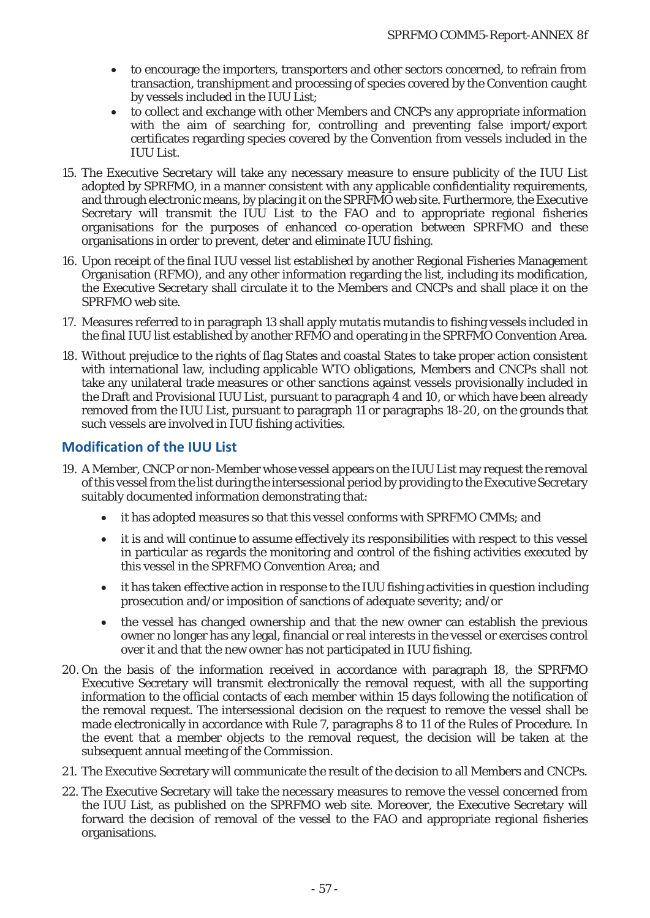- to encourage the importers, transporters and other sectors concerned, to refrain from transaction, transhipment and processing of species covered by the Convention caught by vessels included in the IUU List;
- to collect and exchange with other Members and CNCPs any appropriate information with the aim of searching for, controlling and preventing false import/export certificates regarding species covered by the Convention from vessels included in the IUU List.
- 15. The Executive Secretary will take any necessary measure to ensure publicity of the IUU List adopted by SPRFMO, in a manner consistent with any applicable confidentiality requirements, and through electronic means, by placing it on the SPRFMO web site. Furthermore, the Executive Secretary will transmit the IUU List to the FAO and to appropriate regional fisheries organisations for the purposes of enhanced co-operation between SPRFMO and these organisations in order to prevent, deter and eliminate IUU fishing.
- 16. Upon receipt of the final IUU vessel list established by another Regional Fisheries Management Organisation (RFMO), and any other information regarding the list, including its modification, the Executive Secretary shall circulate it to the Members and CNCPs and shall place it on the SPRFMO web site.
- 17. Measures referred to in paragraph 13 shall apply *mutatis mutandis* to fishing vessels included in the final IUU list established by another RFMO and operating in the SPRFMO Convention Area.
- 18. Without prejudice to the rights of flag States and coastal States to take proper action consistent with international law, including applicable WTO obligations, Members and CNCPs shall not take any unilateral trade measures or other sanctions against vessels provisionally included in the Draft and Provisional IUU List, pursuant to paragraph 4 and 10, or which have been already removed from the IUU List, pursuant to paragraph 11 or paragraphs 18-20, on the grounds that such vessels are involved in IUU fishing activities.

## **Modification of the IUU List**

- 19. A Member, CNCP or non-Member whose vessel appears on the IUU List may request the removal of this vessel from the list during the intersessional period by providing to the Executive Secretary suitably documented information demonstrating that:
	- it has adopted measures so that this vessel conforms with SPRFMO CMMs; and
	- it is and will continue to assume effectively its responsibilities with respect to this vessel in particular as regards the monitoring and control of the fishing activities executed by this vessel in the SPRFMO Convention Area; and
	- it has taken effective action in response to the IUU fishing activities in question including prosecution and/or imposition of sanctions of adequate severity; and/or
	- the vessel has changed ownership and that the new owner can establish the previous owner no longer has any legal, financial or real interests in the vessel or exercises control over it and that the new owner has not participated in IUU fishing.
- 20. On the basis of the information received in accordance with paragraph 18, the SPRFMO Executive Secretary will transmit electronically the removal request, with all the supporting information to the official contacts of each member within 15 days following the notification of the removal request. The intersessional decision on the request to remove the vessel shall be made electronically in accordance with Rule 7, paragraphs 8 to 11 of the Rules of Procedure. In the event that a member objects to the removal request, the decision will be taken at the subsequent annual meeting of the Commission.
- 21. The Executive Secretary will communicate the result of the decision to all Members and CNCPs.
- 22. The Executive Secretary will take the necessary measures to remove the vessel concerned from the IUU List, as published on the SPRFMO web site. Moreover, the Executive Secretary will forward the decision of removal of the vessel to the FAO and appropriate regional fisheries organisations.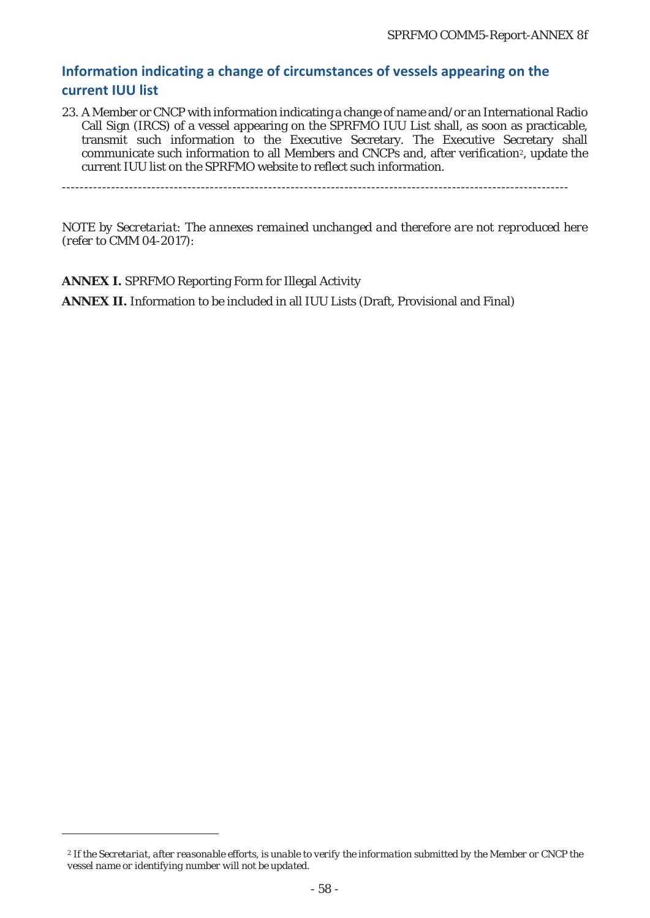## **Information indicating a change of circumstances of vessels appearing on the current IUU list**

23. A Member or CNCP with information indicating a change of name and/or an International Radio Call Sign (IRCS) of a vessel appearing on the SPRFMO IUU List shall, as soon as practicable, transmit such information to the Executive Secretary. The Executive Secretary shall communicate such information to all Members and CNCPs and, after verification<sup>2</sup>, update the current IUU list on the SPRFMO website to reflect such information.

*NOTE by Secretariat: The annexes remained unchanged and therefore are not reproduced here (refer to CMM 04-2017):* 

**ANNEX I.** SPRFMO Reporting Form for Illegal Activity **ANNEX II.** Information to be included in all IUU Lists (Draft, Provisional and Final)

*<sup>2</sup> If the Secretariat, after reasonable efforts, is unable to verify the information submitted by the Member or CNCP the vessel name or identifying number will not be updated.*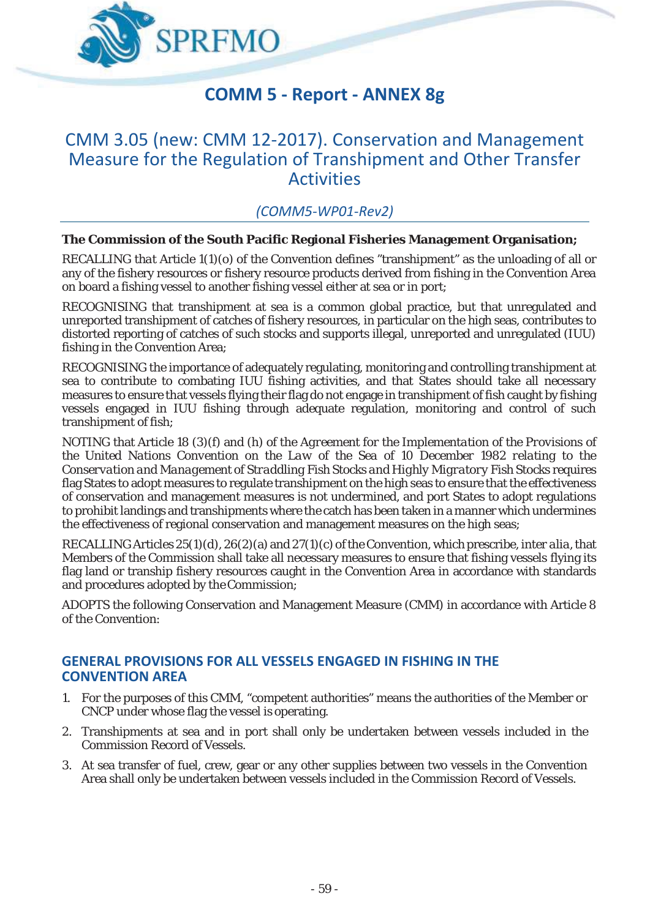

# **COMM 5 - Report - ANNEX 8g**

## CMM 3.05 (new: CMM 12-2017). Conservation and Management Measure for the Regulation of Transhipment and Other Transfer **Activities**

## *(COMM5-WP01-Rev2)*

### **The Commission of the South Pacific Regional Fisheries Management Organisation;**

*RECALLING that* Article 1(1)(o) of the Convention defines "transhipment" as the unloading of all or any of the fishery resources or fishery resource products derived from fishing in the Convention Area on board a fishing vessel to another fishing vessel either at sea or in port;

*RECOGNISING* that transhipment at sea is a common global practice, but that unregulated and unreported transhipment of catches of fishery resources, in particular on the high seas, contributes to distorted reporting of catches of such stocks and supports illegal, unreported and unregulated (IUU) fishing in the Convention Area;

*RECOGNISING* the importance of adequately regulating, monitoring and controlling transhipment at sea to contribute to combating IUU fishing activities, and that States should take all necessary measures to ensure that vessels flying their flag do not engage in transhipment of fish caught by fishing vessels engaged in IUU fishing through adequate regulation, monitoring and control of such transhipment of fish;

*NOTING* that Article 18 (3)(f) and (h) of the *Agreement for the Implementation of the Provisions of the United Nations Convention on the Law of the Sea of 10 December 1982 relating to the Conservation and Management of Straddling Fish Stocks and Highly Migratory Fish Stocks* requires flag States to adopt measures to regulate transhipment on the high seas to ensure that the effectiveness of conservation and management measures is not undermined, and port States to adopt regulations to prohibit landings and transhipments where the catch has been taken in a manner which undermines the effectiveness of regional conservation and management measures on the high seas;

*RECALLING* Articles 25(1)(d), 26(2)(a) and 27(1)(c) of the Convention, which prescribe, *inter alia*, that Members of the Commission shall take all necessary measures to ensure that fishing vessels flying its flag land or tranship fishery resources caught in the Convention Area in accordance with standards and procedures adopted by the Commission;

*ADOPTS* the following Conservation and Management Measure (CMM) in accordance with Article 8 of the Convention:

### **GENERAL PROVISIONS FOR ALL VESSELS ENGAGED IN FISHING IN THE CONVENTION AREA**

- 1. For the purposes of this CMM, "competent authorities" means the authorities of the Member or CNCP under whose flag the vessel is operating.
- 2. Transhipments at sea and in port shall only be undertaken between vessels included in the Commission Record of Vessels.
- 3. At sea transfer of fuel, crew, gear or any other supplies between two vessels in the Convention Area shall only be undertaken between vessels included in the Commission Record of Vessels.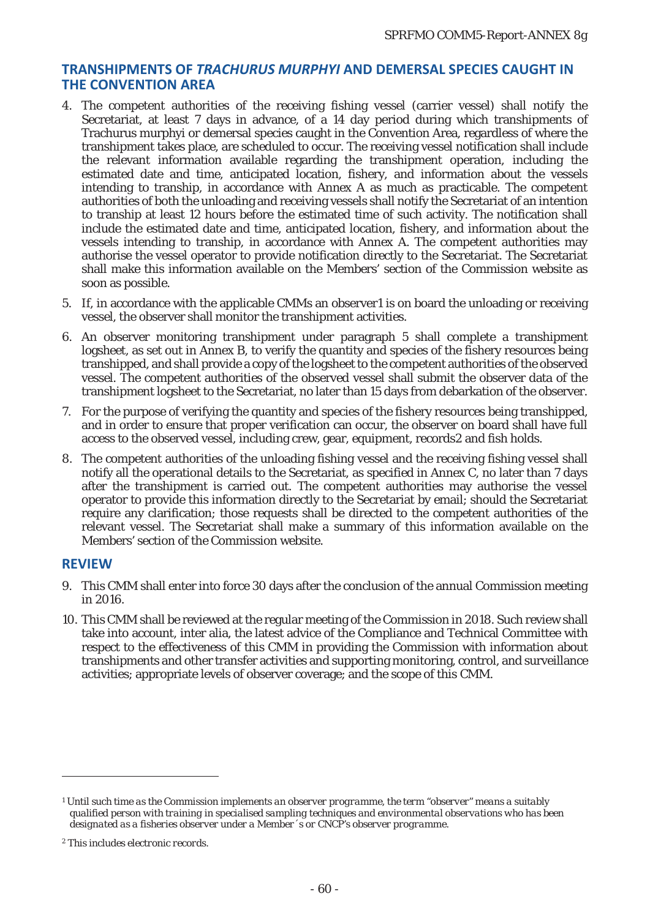### **TRANSHIPMENTS OF** *TRACHURUS MURPHYI* **AND DEMERSAL SPECIES CAUGHT IN THE CONVENTION AREA**

- 4. The competent authorities of the receiving fishing vessel (carrier vessel) shall notify the Secretariat, at least 7 days in advance, of a 14 day period during which transhipments of Trachurus murphyi or demersal species caught in the Convention Area, regardless of where the transhipment takes place, are scheduled to occur. The receiving vessel notification shall include the relevant information available regarding the transhipment operation, including the estimated date and time, anticipated location, fishery, and information about the vessels intending to tranship, in accordance with Annex A as much as practicable. The competent authorities of both the unloading and receiving vessels shall notify the Secretariat of an intention to tranship at least 12 hours before the estimated time of such activity. The notification shall include the estimated date and time, anticipated location, fishery, and information about the vessels intending to tranship, in accordance with Annex A. The competent authorities may authorise the vessel operator to provide notification directly to the Secretariat. The Secretariat shall make this information available on the Members' section of the Commission website as soon as possible.
- 5. If, in accordance with the applicable CMMs an observer1 is on board the unloading or receiving vessel, the observer shall monitor the transhipment activities.
- 6. An observer monitoring transhipment under paragraph 5 shall complete a transhipment logsheet, as set out in Annex B, to verify the quantity and species of the fishery resources being transhipped, and shall provide a copy of the logsheet to the competent authorities of the observed vessel. The competent authorities of the observed vessel shall submit the observer data of the transhipment logsheet to the Secretariat, no later than 15 days from debarkation of the observer.
- 7. For the purpose of verifying the quantity and species of the fishery resources being transhipped, and in order to ensure that proper verification can occur, the observer on board shall have full access to the observed vessel, including crew, gear, equipment, records2 and fish holds.
- 8. The competent authorities of the unloading fishing vessel and the receiving fishing vessel shall notify all the operational details to the Secretariat, as specified in Annex C, no later than 7 days after the transhipment is carried out. The competent authorities may authorise the vessel operator to provide this information directly to the Secretariat by email; should the Secretariat require any clarification; those requests shall be directed to the competent authorities of the relevant vessel. The Secretariat shall make a summary of this information available on the Members' section of the Commission website.

### **REVIEW**

- 9. This CMM shall enter into force 30 days after the conclusion of the annual Commission meeting in 2016.
- 10. This CMM shall be reviewed at the regular meeting of the Commission in 2018. Such review shall take into account, inter alia, the latest advice of the Compliance and Technical Committee with respect to the effectiveness of this CMM in providing the Commission with information about transhipments and other transfer activities and supporting monitoring, control, and surveillance activities; appropriate levels of observer coverage; and the scope of this CMM.

*<sup>1</sup> Until such time as the Commission implements an observer programme, the term "observer" means a suitably qualified person with training in specialised sampling techniques and environmental observations who has been designated as a fisheries observer under a Member´s or CNCP's observer programme.* 

*<sup>2</sup> This includes electronic records.*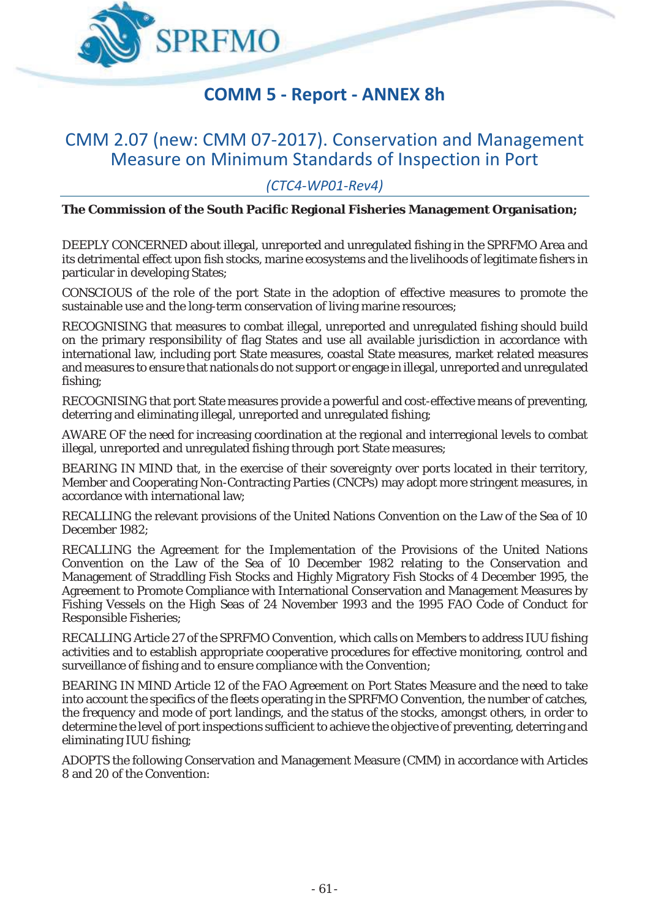

# **COMM 5 - Report - ANNEX 8h**

## CMM 2.07 (new: CMM 07-2017). Conservation and Management Measure on Minimum Standards of Inspection in Port

*(CTC4-WP01-Rev4)* 

#### **The Commission of the South Pacific Regional Fisheries Management Organisation;**

*DEEPLY CONCERNED* about illegal, unreported and unregulated fishing in the SPRFMO Area and its detrimental effect upon fish stocks, marine ecosystems and the livelihoods of legitimate fishers in particular in developing States;

*CONSCIOUS* of the role of the port State in the adoption of effective measures to promote the sustainable use and the long-term conservation of living marine resources;

*RECOGNISING* that measures to combat illegal, unreported and unregulated fishing should build on the primary responsibility of flag States and use all available jurisdiction in accordance with international law, including port State measures, coastal State measures, market related measures and measures to ensure that nationals do not support or engage in illegal, unreported and unregulated fishing;

*RECOGNISING* that port State measures provide a powerful and cost-effective means of preventing, deterring and eliminating illegal, unreported and unregulated fishing;

*AWARE OF* the need for increasing coordination at the regional and interregional levels to combat illegal, unreported and unregulated fishing through port State measures;

*BEARING IN MIND* that, in the exercise of their sovereignty over ports located in their territory, Member and Cooperating Non-Contracting Parties (CNCPs) may adopt more stringent measures, in accordance with international law;

*RECALLING* the relevant provisions of the United Nations Convention on the Law of the Sea of 10 December 1982;

*RECALLING* the Agreement for the Implementation of the Provisions of the United Nations Convention on the Law of the Sea of 10 December 1982 relating to the Conservation and Management of Straddling Fish Stocks and Highly Migratory Fish Stocks of 4 December 1995, the Agreement to Promote Compliance with International Conservation and Management Measures by Fishing Vessels on the High Seas of 24 November 1993 and the 1995 FAO Code of Conduct for Responsible Fisheries;

*RECALLING* Article 27 of the SPRFMO Convention, which calls on Members to address IUU fishing activities and to establish appropriate cooperative procedures for effective monitoring, control and surveillance of fishing and to ensure compliance with the Convention;

**BEARING IN MIND** Article 12 of the FAO Agreement on Port States Measure and the need to take into account the specifics of the fleets operating in the SPRFMO Convention, the number of catches, the frequency and mode of port landings, and the status of the stocks, amongst others, in order to determine the level of port inspections sufficient to achieve the objective of preventing, deterring and eliminating IUU fishing;

*ADOPTS* the following Conservation and Management Measure (CMM) in accordance with Articles 8 and 20 of the Convention: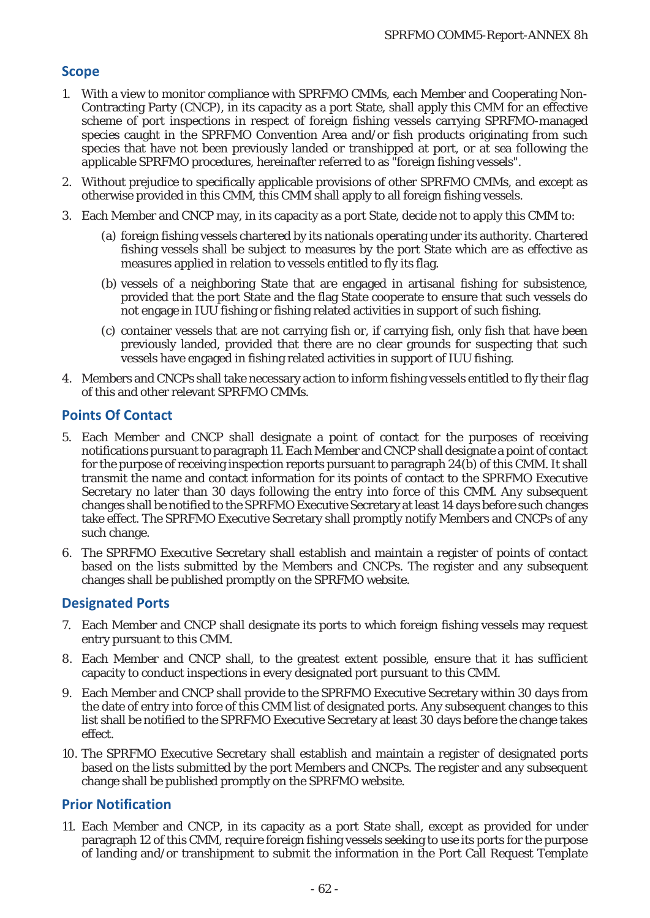## **Scope**

- 1. With a view to monitor compliance with SPRFMO CMMs, each Member and Cooperating Non-Contracting Party (CNCP), in its capacity as a port State, shall apply this CMM for an effective scheme of port inspections in respect of foreign fishing vessels carrying SPRFMO-managed species caught in the SPRFMO Convention Area and/or fish products originating from such species that have not been previously landed or transhipped at port, or at sea following the applicable SPRFMO procedures, hereinafter referred to as "foreign fishing vessels".
- 2. Without prejudice to specifically applicable provisions of other SPRFMO CMMs, and except as otherwise provided in this CMM, this CMM shall apply to all foreign fishing vessels.
- 3. Each Member and CNCP may, in its capacity as a port State, decide not to apply this CMM to:
	- (a) foreign fishing vessels chartered by its nationals operating under its authority. Chartered fishing vessels shall be subject to measures by the port State which are as effective as measures applied in relation to vessels entitled to fly its flag.
	- (b) vessels of a neighboring State that are engaged in artisanal fishing for subsistence, provided that the port State and the flag State cooperate to ensure that such vessels do not engage in IUU fishing or fishing related activities in support of such fishing.
	- (c) container vessels that are not carrying fish or, if carrying fish, only fish that have been previously landed, provided that there are no clear grounds for suspecting that such vessels have engaged in fishing related activities in support of IUU fishing.
- 4. Members and CNCPs shall take necessary action to inform fishing vessels entitled to fly their flag of this and other relevant SPRFMO CMMs.

## **Points Of Contact**

- 5. Each Member and CNCP shall designate a point of contact for the purposes of receiving notifications pursuant to paragraph 11. Each Member and CNCP shall designate a point of contact for the purpose of receiving inspection reports pursuant to paragraph 24(b) of this CMM. It shall transmit the name and contact information for its points of contact to the SPRFMO Executive Secretary no later than 30 days following the entry into force of this CMM. Any subsequent changes shall be notified to the SPRFMO Executive Secretary at least 14 days before such changes take effect. The SPRFMO Executive Secretary shall promptly notify Members and CNCPs of any such change.
- 6. The SPRFMO Executive Secretary shall establish and maintain a register of points of contact based on the lists submitted by the Members and CNCPs. The register and any subsequent changes shall be published promptly on the SPRFMO website.

## **Designated Ports**

- 7. Each Member and CNCP shall designate its ports to which foreign fishing vessels may request entry pursuant to this CMM.
- 8. Each Member and CNCP shall, to the greatest extent possible, ensure that it has sufficient capacity to conduct inspections in every designated port pursuant to this CMM.
- 9. Each Member and CNCP shall provide to the SPRFMO Executive Secretary within 30 days from the date of entry into force of this CMM list of designated ports. Any subsequent changes to this list shall be notified to the SPRFMO Executive Secretary at least 30 days before the change takes effect.
- 10. The SPRFMO Executive Secretary shall establish and maintain a register of designated ports based on the lists submitted by the port Members and CNCPs. The register and any subsequent change shall be published promptly on the SPRFMO website.

## **Prior Notification**

11. Each Member and CNCP, in its capacity as a port State shall, except as provided for under paragraph 12 of this CMM, require foreign fishing vessels seeking to use its ports for the purpose of landing and/or transhipment to submit the information in the Port Call Request Template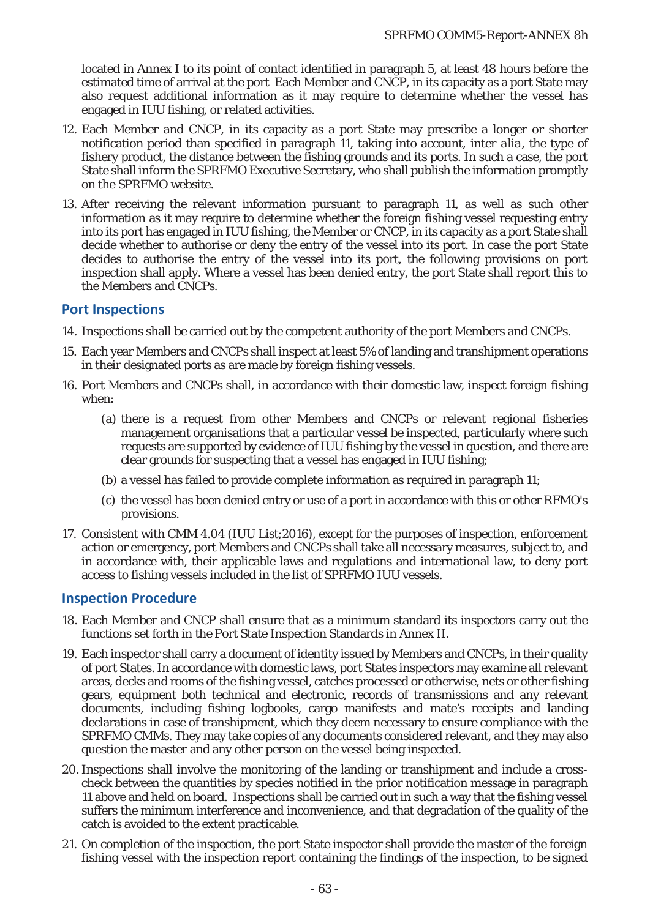located in Annex I to its point of contact identified in paragraph 5, at least 48 hours before the estimated time of arrival at the port Each Member and CNCP, in its capacity as a port State may also request additional information as it may require to determine whether the vessel has engaged in IUU fishing, or related activities.

- 12. Each Member and CNCP, in its capacity as a port State may prescribe a longer or shorter notification period than specified in paragraph 11, taking into account, *inter alia*, the type of fishery product, the distance between the fishing grounds and its ports. In such a case, the port State shall inform the SPRFMO Executive Secretary, who shall publish the information promptly on the SPRFMO website.
- 13. After receiving the relevant information pursuant to paragraph 11, as well as such other information as it may require to determine whether the foreign fishing vessel requesting entry into its port has engaged in IUU fishing, the Member or CNCP, in its capacity as a port State shall decide whether to authorise or deny the entry of the vessel into its port. In case the port State decides to authorise the entry of the vessel into its port, the following provisions on port inspection shall apply. Where a vessel has been denied entry, the port State shall report this to the Members and CNCPs.

### **Port Inspections**

- 14. Inspections shall be carried out by the competent authority of the port Members and CNCPs.
- 15. Each year Members and CNCPs shall inspect at least 5% of landing and transhipment operations in their designated ports as are made by foreign fishing vessels.
- 16. Port Members and CNCPs shall, in accordance with their domestic law, inspect foreign fishing when:
	- (a) there is a request from other Members and CNCPs or relevant regional fisheries management organisations that a particular vessel be inspected, particularly where such requests are supported by evidence of IUU fishing by the vessel in question, and there are clear grounds for suspecting that a vessel has engaged in IUU fishing;
	- (b) a vessel has failed to provide complete information as required in paragraph 11;
	- (c) the vessel has been denied entry or use of a port in accordance with this or other RFMO's provisions.
- 17. Consistent with CMM 4.04 (IUU List;2016), except for the purposes of inspection, enforcement action or emergency, port Members and CNCPs shall take all necessary measures, subject to, and in accordance with, their applicable laws and regulations and international law, to deny port access to fishing vessels included in the list of SPRFMO IUU vessels.

### **Inspection Procedure**

- 18. Each Member and CNCP shall ensure that as a minimum standard its inspectors carry out the functions set forth in the Port State Inspection Standards in Annex II.
- 19. Each inspector shall carry a document of identity issued by Members and CNCPs, in their quality of port States. In accordance with domestic laws, port States inspectors may examine all relevant areas, decks and rooms of the fishing vessel, catches processed or otherwise, nets or other fishing gears, equipment both technical and electronic, records of transmissions and any relevant documents, including fishing logbooks, cargo manifests and mate's receipts and landing declarations in case of transhipment, which they deem necessary to ensure compliance with the SPRFMO CMMs. They may take copies of any documents considered relevant, and they may also question the master and any other person on the vessel being inspected.
- 20. Inspections shall involve the monitoring of the landing or transhipment and include a crosscheck between the quantities by species notified in the prior notification message in paragraph 11 above and held on board. Inspections shall be carried out in such a way that the fishing vessel suffers the minimum interference and inconvenience, and that degradation of the quality of the catch is avoided to the extent practicable.
- 21. On completion of the inspection, the port State inspector shall provide the master of the foreign fishing vessel with the inspection report containing the findings of the inspection, to be signed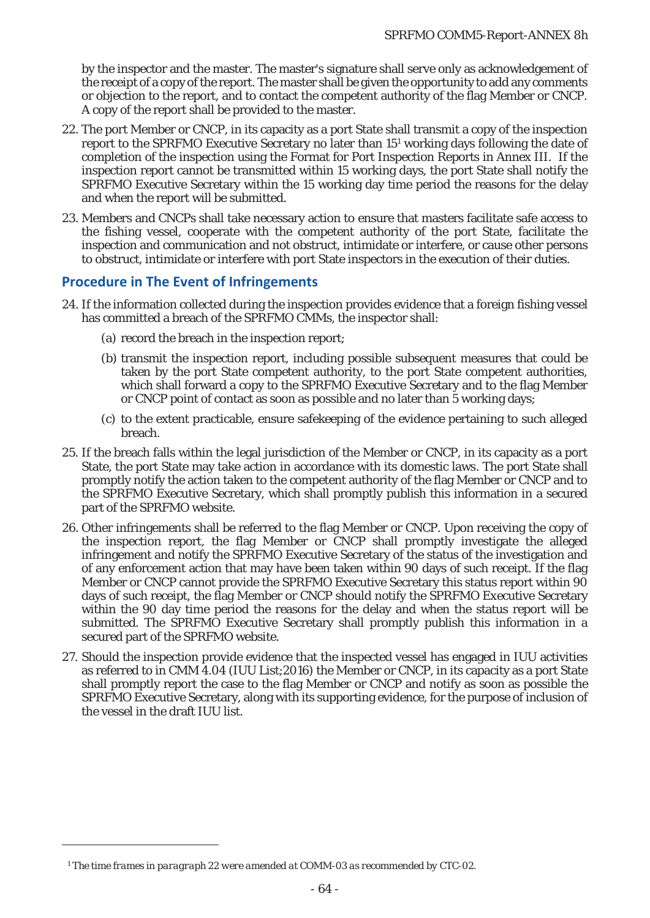by the inspector and the master. The master's signature shall serve only as acknowledgement of the receipt of a copy of the report. The master shall be given the opportunity to add any comments or objection to the report, and to contact the competent authority of the flag Member or CNCP. A copy of the report shall be provided to the master.

- 22. The port Member or CNCP, in its capacity as a port State shall transmit a copy of the inspection report to the SPRFMO Executive Secretary no later than 151 working days following the date of completion of the inspection using the Format for Port Inspection Reports in Annex III. If the inspection report cannot be transmitted within 15 working days, the port State shall notify the SPRFMO Executive Secretary within the 15 working day time period the reasons for the delay and when the report will be submitted.
- 23. Members and CNCPs shall take necessary action to ensure that masters facilitate safe access to the fishing vessel, cooperate with the competent authority of the port State, facilitate the inspection and communication and not obstruct, intimidate or interfere, or cause other persons to obstruct, intimidate or interfere with port State inspectors in the execution of their duties.

## **Procedure in The Event of Infringements**

- 24. If the information collected during the inspection provides evidence that a foreign fishing vessel has committed a breach of the SPRFMO CMMs, the inspector shall:
	- (a) record the breach in the inspection report;
	- (b) transmit the inspection report, including possible subsequent measures that could be taken by the port State competent authority, to the port State competent authorities, which shall forward a copy to the SPRFMO Executive Secretary and to the flag Member or CNCP point of contact as soon as possible and no later than 5 working days;
	- (c) to the extent practicable, ensure safekeeping of the evidence pertaining to such alleged breach.
- 25. If the breach falls within the legal jurisdiction of the Member or CNCP, in its capacity as a port State, the port State may take action in accordance with its domestic laws. The port State shall promptly notify the action taken to the competent authority of the flag Member or CNCP and to the SPRFMO Executive Secretary, which shall promptly publish this information in a secured part of the SPRFMO website.
- 26. Other infringements shall be referred to the flag Member or CNCP. Upon receiving the copy of the inspection report, the flag Member or CNCP shall promptly investigate the alleged infringement and notify the SPRFMO Executive Secretary of the status of the investigation and of any enforcement action that may have been taken within 90 days of such receipt. If the flag Member or CNCP cannot provide the SPRFMO Executive Secretary this status report within 90 days of such receipt, the flag Member or CNCP should notify the SPRFMO Executive Secretary within the 90 day time period the reasons for the delay and when the status report will be submitted. The SPRFMO Executive Secretary shall promptly publish this information in a secured part of the SPRFMO website.
- 27. Should the inspection provide evidence that the inspected vessel has engaged in IUU activities as referred to in CMM 4.04 (IUU List;2016) the Member or CNCP, in its capacity as a port State shall promptly report the case to the flag Member or CNCP and notify as soon as possible the SPRFMO Executive Secretary, along with its supporting evidence, for the purpose of inclusion of the vessel in the draft IUU list.

*<sup>1</sup> The time frames in paragraph 22 were amended at COMM-03 as recommended by CTC-02.*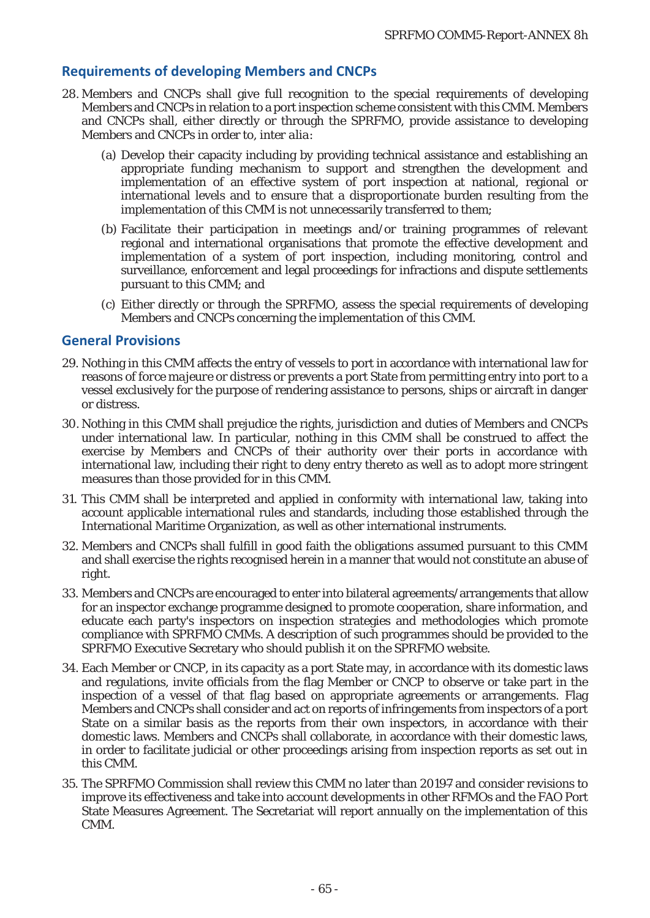### **Requirements of developing Members and CNCPs**

- 28. Members and CNCPs shall give full recognition to the special requirements of developing Members and CNCPs in relation to a port inspection scheme consistent with this CMM. Members and CNCPs shall, either directly or through the SPRFMO, provide assistance to developing Members and CNCPs in order to, *inter alia*:
	- (a) Develop their capacity including by providing technical assistance and establishing an appropriate funding mechanism to support and strengthen the development and implementation of an effective system of port inspection at national, regional or international levels and to ensure that a disproportionate burden resulting from the implementation of this CMM is not unnecessarily transferred to them;
	- (b) Facilitate their participation in meetings and/or training programmes of relevant regional and international organisations that promote the effective development and implementation of a system of port inspection, including monitoring, control and surveillance, enforcement and legal proceedings for infractions and dispute settlements pursuant to this CMM; and
	- (c) Either directly or through the SPRFMO, assess the special requirements of developing Members and CNCPs concerning the implementation of this CMM.

### **General Provisions**

- 29. Nothing in this CMM affects the entry of vessels to port in accordance with international law for reasons of *force majeure* or distress or prevents a port State from permitting entry into port to a vessel exclusively for the purpose of rendering assistance to persons, ships or aircraft in danger or distress.
- 30. Nothing in this CMM shall prejudice the rights, jurisdiction and duties of Members and CNCPs under international law. In particular, nothing in this CMM shall be construed to affect the exercise by Members and CNCPs of their authority over their ports in accordance with international law, including their right to deny entry thereto as well as to adopt more stringent measures than those provided for in this CMM.
- 31. This CMM shall be interpreted and applied in conformity with international law, taking into account applicable international rules and standards, including those established through the International Maritime Organization, as well as other international instruments.
- 32. Members and CNCPs shall fulfill in good faith the obligations assumed pursuant to this CMM and shall exercise the rights recognised herein in a manner that would not constitute an abuse of right.
- 33. Members and CNCPs are encouraged to enter into bilateral agreements/arrangements that allow for an inspector exchange programme designed to promote cooperation, share information, and educate each party's inspectors on inspection strategies and methodologies which promote compliance with SPRFMO CMMs. A description of such programmes should be provided to the SPRFMO Executive Secretary who should publish it on the SPRFMO website.
- 34. Each Member or CNCP, in its capacity as a port State may, in accordance with its domestic laws and regulations, invite officials from the flag Member or CNCP to observe or take part in the inspection of a vessel of that flag based on appropriate agreements or arrangements. Flag Members and CNCPs shall consider and act on reports of infringements from inspectors of a port State on a similar basis as the reports from their own inspectors, in accordance with their domestic laws. Members and CNCPs shall collaborate, in accordance with their domestic laws, in order to facilitate judicial or other proceedings arising from inspection reports as set out in this CMM.
- 35. The SPRFMO Commission shall review this CMM no later than 20197 and consider revisions to improve its effectiveness and take into account developments in other RFMOs and the FAO Port State Measures Agreement. The Secretariat will report annually on the implementation of this CMM.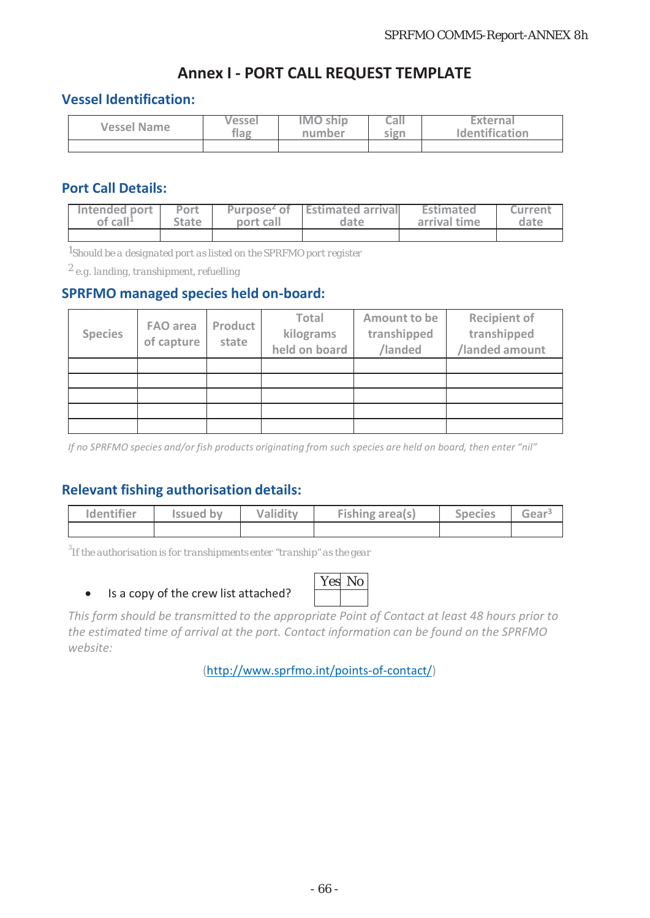## **Annex I - PORT CALL REQUEST TEMPLATE**

### **Vessel Identification:**

| <b>Vessel Name</b> | <b>Vessel</b> | <b>IMO ship</b> | Cali | External       |
|--------------------|---------------|-----------------|------|----------------|
|                    | flag          | number          | sign | Identification |
|                    |               |                 |      |                |

## **Port Call Details:**

| Intended port        | Port         | Purpose <sup>2</sup> of | <b>Lestimated arrivall</b> | Estimated    | Current |
|----------------------|--------------|-------------------------|----------------------------|--------------|---------|
| of call <sup>1</sup> | <b>State</b> | port call               | date                       | arrival time | date    |
|                      |              |                         |                            |              |         |

*1Should be a designated port as listed on the SPRFMO port register* 

*2 e.g. landing, transhipment, refuelling*

## **SPRFMO managed species held on-board:**

| <b>Species</b> | <b>FAO</b> area<br>of capture | Product<br>state | Total<br>kilograms<br>held on board | Amount to be<br>transhipped<br>/landed | <b>Recipient of</b><br>transhipped<br>/landed amount |
|----------------|-------------------------------|------------------|-------------------------------------|----------------------------------------|------------------------------------------------------|
|                |                               |                  |                                     |                                        |                                                      |
|                |                               |                  |                                     |                                        |                                                      |
|                |                               |                  |                                     |                                        |                                                      |
|                |                               |                  |                                     |                                        |                                                      |
|                |                               |                  |                                     |                                        |                                                      |

*If no SPRFMO species and/or fish products originating from such species are held on board, then enter "nil"*

## **Relevant fishing authorisation details:**

| Identifier | <b>Issued by</b> | Validity | Fishing area(s) | Species | Gear <sup>3</sup> |
|------------|------------------|----------|-----------------|---------|-------------------|
|            |                  |          |                 |         |                   |

3 *If the authorisation is for transhipments enter "tranship" as the gear* 

#### • Is a copy of the crew list attached?

*This form should be transmitted to the appropriate Point of Contact at least 48 hours prior to the estimated time of arrival at the port. Contact information can be found on the SPRFMO website:*

(http://www.sprfmo.int/points-of-contact/)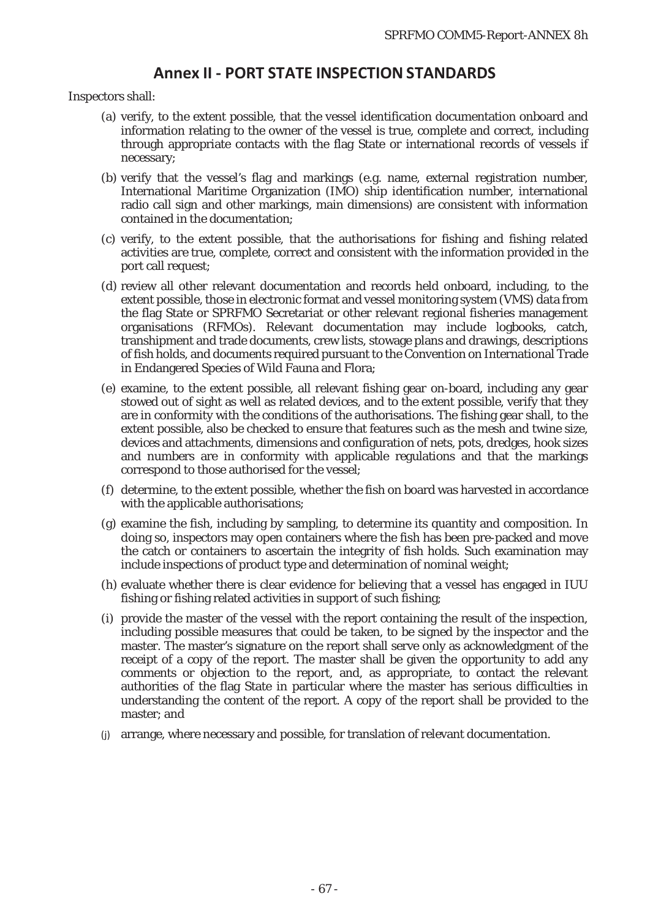## **Annex II - PORT STATE INSPECTION STANDARDS**

Inspectors shall:

- (a) verify, to the extent possible, that the vessel identification documentation onboard and information relating to the owner of the vessel is true, complete and correct, including through appropriate contacts with the flag State or international records of vessels if necessary;
- (b) verify that the vessel's flag and markings (e.g. name, external registration number, International Maritime Organization (IMO) ship identification number, international radio call sign and other markings, main dimensions) are consistent with information contained in the documentation;
- (c) verify, to the extent possible, that the authorisations for fishing and fishing related activities are true, complete, correct and consistent with the information provided in the port call request;
- (d) review all other relevant documentation and records held onboard, including, to the extent possible, those in electronic format and vessel monitoring system (VMS) data from the flag State or SPRFMO Secretariat or other relevant regional fisheries management organisations (RFMOs). Relevant documentation may include logbooks, catch, transhipment and trade documents, crew lists, stowage plans and drawings, descriptions of fish holds, and documents required pursuant to the Convention on International Trade in Endangered Species of Wild Fauna and Flora;
- (e) examine, to the extent possible, all relevant fishing gear on-board, including any gear stowed out of sight as well as related devices, and to the extent possible, verify that they are in conformity with the conditions of the authorisations. The fishing gear shall, to the extent possible, also be checked to ensure that features such as the mesh and twine size, devices and attachments, dimensions and configuration of nets, pots, dredges, hook sizes and numbers are in conformity with applicable regulations and that the markings correspond to those authorised for the vessel;
- (f) determine, to the extent possible, whether the fish on board was harvested in accordance with the applicable authorisations;
- (g) examine the fish, including by sampling, to determine its quantity and composition. In doing so, inspectors may open containers where the fish has been pre-packed and move the catch or containers to ascertain the integrity of fish holds. Such examination may include inspections of product type and determination of nominal weight;
- (h) evaluate whether there is clear evidence for believing that a vessel has engaged in IUU fishing or fishing related activities in support of such fishing;
- (i) provide the master of the vessel with the report containing the result of the inspection, including possible measures that could be taken, to be signed by the inspector and the master. The master's signature on the report shall serve only as acknowledgment of the receipt of a copy of the report. The master shall be given the opportunity to add any comments or objection to the report, and, as appropriate, to contact the relevant authorities of the flag State in particular where the master has serious difficulties in understanding the content of the report. A copy of the report shall be provided to the master; and
- (j) arrange, where necessary and possible, for translation of relevant documentation.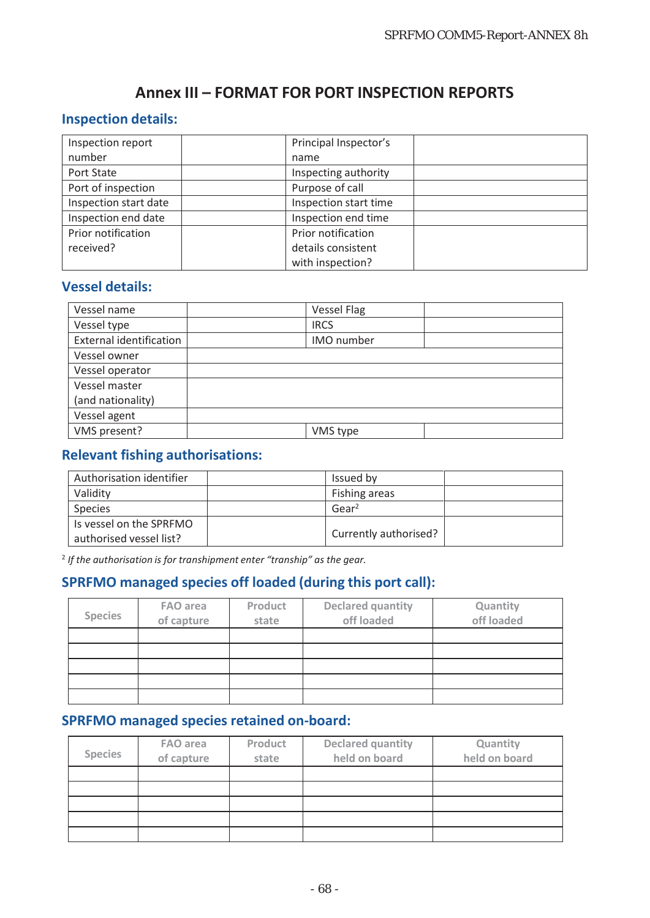## **Annex III – FORMAT FOR PORT INSPECTION REPORTS**

## **Inspection details:**

| Inspection report     | Principal Inspector's |  |
|-----------------------|-----------------------|--|
| number                | name                  |  |
| Port State            | Inspecting authority  |  |
| Port of inspection    | Purpose of call       |  |
| Inspection start date | Inspection start time |  |
| Inspection end date   | Inspection end time   |  |
| Prior notification    | Prior notification    |  |
| received?             | details consistent    |  |
|                       | with inspection?      |  |

## **Vessel details:**

| Vessel name                    | <b>Vessel Flag</b> |
|--------------------------------|--------------------|
| Vessel type                    | <b>IRCS</b>        |
| <b>External identification</b> | <b>IMO</b> number  |
| Vessel owner                   |                    |
| Vessel operator                |                    |
| Vessel master                  |                    |
| (and nationality)              |                    |
| Vessel agent                   |                    |
| VMS present?                   | VMS type           |

## **Relevant fishing authorisations:**

| Authorisation identifier                           | Issued by             |
|----------------------------------------------------|-----------------------|
| Validity                                           | Fishing areas         |
| <b>Species</b>                                     | Gen <sup>2</sup>      |
| Is vessel on the SPRFMO<br>authorised vessel list? | Currently authorised? |

<sup>2</sup>*If the authorisation is for transhipment enter "tranship" as the gear.*

## **SPRFMO managed species off loaded (during this port call):**

| <b>Species</b> | FAO area<br>of capture | Product<br>state | <b>Declared quantity</b><br>off loaded | Quantity<br>off loaded |
|----------------|------------------------|------------------|----------------------------------------|------------------------|
|                |                        |                  |                                        |                        |
|                |                        |                  |                                        |                        |
|                |                        |                  |                                        |                        |
|                |                        |                  |                                        |                        |
|                |                        |                  |                                        |                        |

## **SPRFMO managed species retained on-board:**

| <b>Species</b> | FAO area<br>of capture | Product<br>state | <b>Declared quantity</b><br>held on board | Quantity<br>held on board |
|----------------|------------------------|------------------|-------------------------------------------|---------------------------|
|                |                        |                  |                                           |                           |
|                |                        |                  |                                           |                           |
|                |                        |                  |                                           |                           |
|                |                        |                  |                                           |                           |
|                |                        |                  |                                           |                           |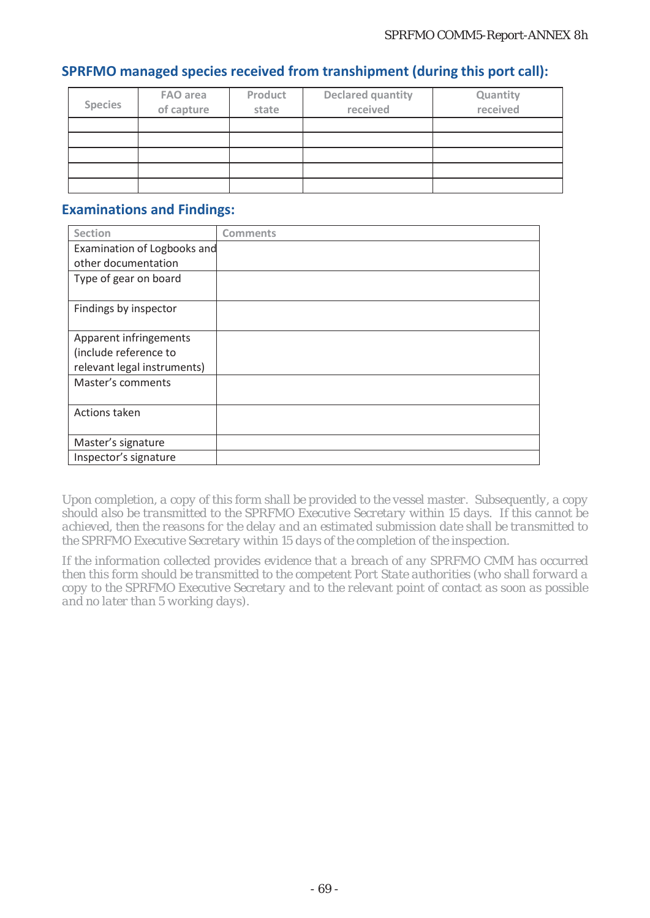## **SPRFMO managed species received from transhipment (during this port call):**

| <b>Species</b> | FAO area<br>of capture | Product<br>state | <b>Declared quantity</b><br>received | Quantity<br>received |
|----------------|------------------------|------------------|--------------------------------------|----------------------|
|                |                        |                  |                                      |                      |
|                |                        |                  |                                      |                      |
|                |                        |                  |                                      |                      |
|                |                        |                  |                                      |                      |
|                |                        |                  |                                      |                      |

## **Examinations and Findings:**

| <b>Section</b>              | <b>Comments</b> |
|-----------------------------|-----------------|
| Examination of Logbooks and |                 |
| other documentation         |                 |
| Type of gear on board       |                 |
| Findings by inspector       |                 |
| Apparent infringements      |                 |
| (include reference to       |                 |
| relevant legal instruments) |                 |
| Master's comments           |                 |
| Actions taken               |                 |
| Master's signature          |                 |
| Inspector's signature       |                 |

*Upon completion, a copy of this form shall be provided to the vessel master. Subsequently, a copy should also be transmitted to the SPRFMO Executive Secretary within 15 days. If this cannot be achieved, then the reasons for the delay and an estimated submission date shall be transmitted to the SPRFMO Executive Secretary within 15 days of the completion of the inspection.* 

*If the information collected provides evidence that a breach of any SPRFMO CMM has occurred then this form should be transmitted to the competent Port State authorities (who shall forward a copy to the SPRFMO Executive Secretary and to the relevant point of contact as soon as possible and no later than 5 working days).*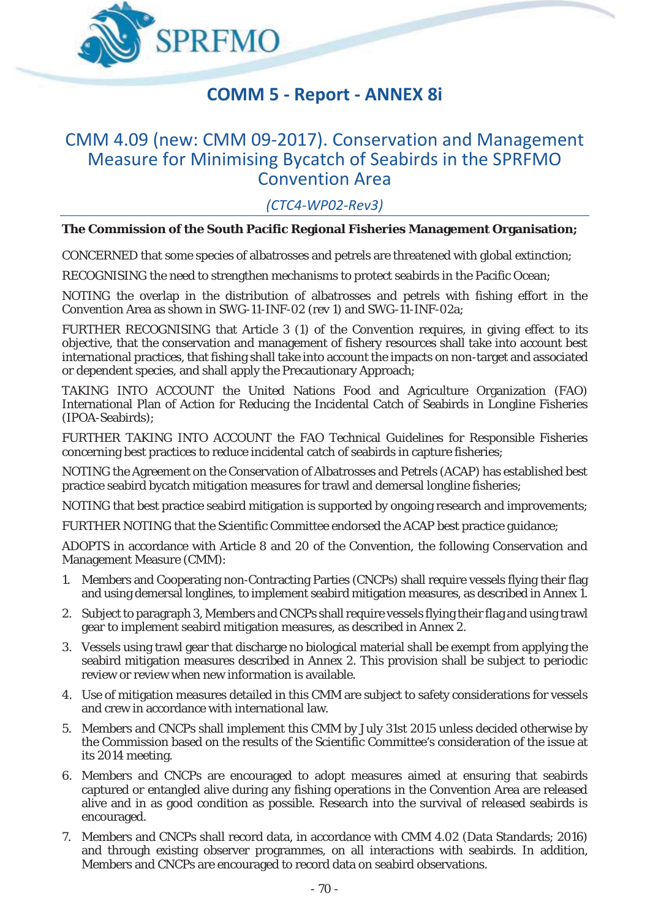

# **COMM 5 - Report - ANNEX 8i**

## CMM 4.09 (new: CMM 09-2017). Conservation and Management Measure for Minimising Bycatch of Seabirds in the SPRFMO Convention Area

*(CTC4-WP02-Rev3)* 

#### **The Commission of the South Pacific Regional Fisheries Management Organisation;**

*CONCERNED* that some species of albatrosses and petrels are threatened with global extinction;

*RECOGNISING* the need to strengthen mechanisms to protect seabirds in the Pacific Ocean;

*NOTING* the overlap in the distribution of albatrosses and petrels with fishing effort in the Convention Area as shown in SWG-11-INF-02 (rev 1) and SWG-11-INF-02a;

*FURTHER RECOGNISING* that Article 3 (1) of the Convention requires, in giving effect to its objective, that the conservation and management of fishery resources shall take into account best international practices, that fishing shall take into account the impacts on non-target and associated or dependent species, and shall apply the Precautionary Approach;

*TAKING INTO ACCOUNT* the United Nations Food and Agriculture Organization (FAO) International Plan of Action for Reducing the Incidental Catch of Seabirds in Longline Fisheries (IPOA-Seabirds);

*FURTHER TAKING INTO ACCOUNT* the FAO Technical Guidelines for Responsible Fisheries concerning best practices to reduce incidental catch of seabirds in capture fisheries;

*NOTING* the Agreement on the Conservation of Albatrosses and Petrels (ACAP) has established best practice seabird bycatch mitigation measures for trawl and demersal longline fisheries;

*NOTING* that best practice seabird mitigation is supported by ongoing research and improvements;

*FURTHER NOTING* that the Scientific Committee endorsed the ACAP best practice guidance;

*ADOPTS* in accordance with Article 8 and 20 of the Convention, the following Conservation and Management Measure (CMM):

- 1. Members and Cooperating non-Contracting Parties (CNCPs) shall require vessels flying their flag and using demersal longlines, to implement seabird mitigation measures, as described in Annex 1.
- 2. Subject to paragraph 3, Members and CNCPs shall require vessels flying their flag and using trawl gear to implement seabird mitigation measures, as described in Annex 2.
- 3. Vessels using trawl gear that discharge no biological material shall be exempt from applying the seabird mitigation measures described in Annex 2. This provision shall be subject to periodic review or review when new information is available.
- 4. Use of mitigation measures detailed in this CMM are subject to safety considerations for vessels and crew in accordance with international law.
- 5. Members and CNCPs shall implement this CMM by July 31st 2015 unless decided otherwise by the Commission based on the results of the Scientific Committee's consideration of the issue at its 2014 meeting.
- 6. Members and CNCPs are encouraged to adopt measures aimed at ensuring that seabirds captured or entangled alive during any fishing operations in the Convention Area are released alive and in as good condition as possible. Research into the survival of released seabirds is encouraged.
- 7. Members and CNCPs shall record data, in accordance with CMM 4.02 (Data Standards; 2016) and through existing observer programmes, on all interactions with seabirds. In addition, Members and CNCPs are encouraged to record data on seabird observations.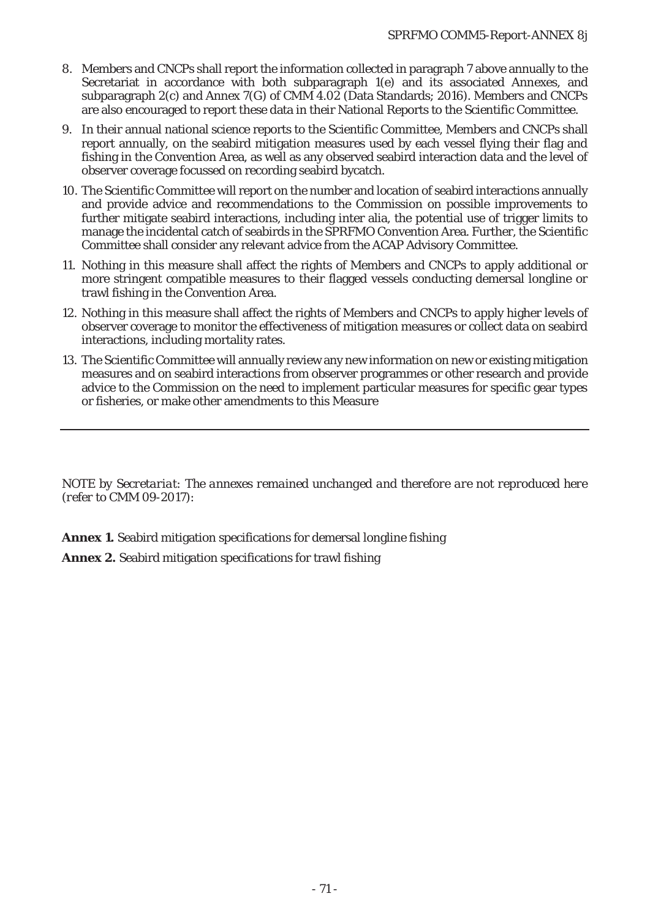- 8. Members and CNCPs shall report the information collected in paragraph 7 above annually to the Secretariat in accordance with both subparagraph 1(e) and its associated Annexes, and subparagraph 2(c) and Annex 7(G) of CMM 4.02 (Data Standards; 2016). Members and CNCPs are also encouraged to report these data in their National Reports to the Scientific Committee.
- 9. In their annual national science reports to the Scientific Committee, Members and CNCPs shall report annually, on the seabird mitigation measures used by each vessel flying their flag and fishing in the Convention Area, as well as any observed seabird interaction data and the level of observer coverage focussed on recording seabird bycatch.
- 10. The Scientific Committee will report on the number and location of seabird interactions annually and provide advice and recommendations to the Commission on possible improvements to further mitigate seabird interactions, including inter alia, the potential use of trigger limits to manage the incidental catch of seabirds in the SPRFMO Convention Area. Further, the Scientific Committee shall consider any relevant advice from the ACAP Advisory Committee.
- 11. Nothing in this measure shall affect the rights of Members and CNCPs to apply additional or more stringent compatible measures to their flagged vessels conducting demersal longline or trawl fishing in the Convention Area.
- 12. Nothing in this measure shall affect the rights of Members and CNCPs to apply higher levels of observer coverage to monitor the effectiveness of mitigation measures or collect data on seabird interactions, including mortality rates.
- 13. The Scientific Committee will annually review any new information on new or existing mitigation measures and on seabird interactions from observer programmes or other research and provide advice to the Commission on the need to implement particular measures for specific gear types or fisheries, or make other amendments to this Measure

*NOTE by Secretariat: The annexes remained unchanged and therefore are not reproduced here (refer to CMM 09-2017):* 

**Annex 1.** Seabird mitigation specifications for demersal longline fishing

**Annex 2.** Seabird mitigation specifications for trawl fishing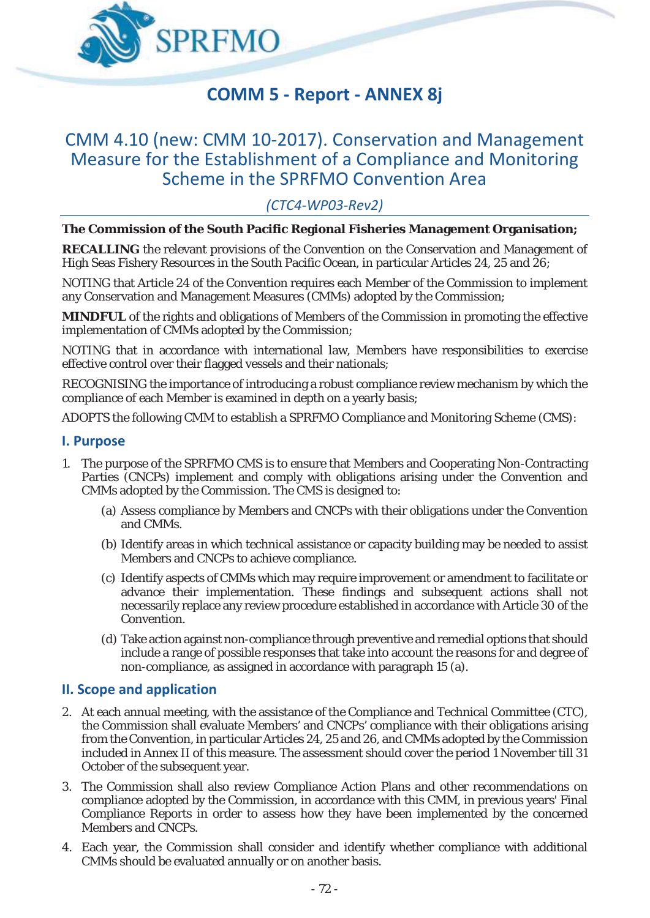

# **COMM 5 - Report - ANNEX 8j**

## CMM 4.10 (new: CMM 10-2017). Conservation and Management Measure for the Establishment of a Compliance and Monitoring Scheme in the SPRFMO Convention Area

## *(CTC4-WP03-Rev2)*

#### **The Commission of the South Pacific Regional Fisheries Management Organisation;**

**RECALLING** the relevant provisions of the Convention on the Conservation and Management of High Seas Fishery Resources in the South Pacific Ocean, in particular Articles 24, 25 and 26;

NOTING that Article 24 of the Convention requires each Member of the Commission to implement any Conservation and Management Measures (CMMs) adopted by the Commission;

*MINDFUL* of the rights and obligations of Members of the Commission in promoting the effective implementation of CMMs adopted by the Commission;

*NOTING* that in accordance with international law, Members have responsibilities to exercise effective control over their flagged vessels and their nationals;

*RECOGNISING* the importance of introducing a robust compliance review mechanism by which the compliance of each Member is examined in depth on a yearly basis;

*ADOPTS* the following CMM to establish a SPRFMO Compliance and Monitoring Scheme (CMS):

#### **I. Purpose**

- 1. The purpose of the SPRFMO CMS is to ensure that Members and Cooperating Non-Contracting Parties (CNCPs) implement and comply with obligations arising under the Convention and CMMs adopted by the Commission. The CMS is designed to:
	- (a) Assess compliance by Members and CNCPs with their obligations under the Convention and CMMs.
	- (b) Identify areas in which technical assistance or capacity building may be needed to assist Members and CNCPs to achieve compliance.
	- (c) Identify aspects of CMMs which may require improvement or amendment to facilitate or advance their implementation. These findings and subsequent actions shall not necessarily replace any review procedure established in accordance with Article 30 of the Convention.
	- (d) Take action against non-compliance through preventive and remedial options that should include a range of possible responses that take into account the reasons for and degree of non-compliance, as assigned in accordance with paragraph 15 (a).

### **II. Scope and application**

- 2. At each annual meeting, with the assistance of the Compliance and Technical Committee (CTC), the Commission shall evaluate Members' and CNCPs' compliance with their obligations arising from the Convention, in particular Articles 24, 25 and 26, and CMMs adopted by the Commission included in Annex II of this measure. The assessment should cover the period 1 November till 31 October of the subsequent year.
- 3. The Commission shall also review Compliance Action Plans and other recommendations on compliance adopted by the Commission, in accordance with this CMM, in previous years' Final Compliance Reports in order to assess how they have been implemented by the concerned Members and CNCPs.
- 4. Each year, the Commission shall consider and identify whether compliance with additional CMMs should be evaluated annually or on another basis.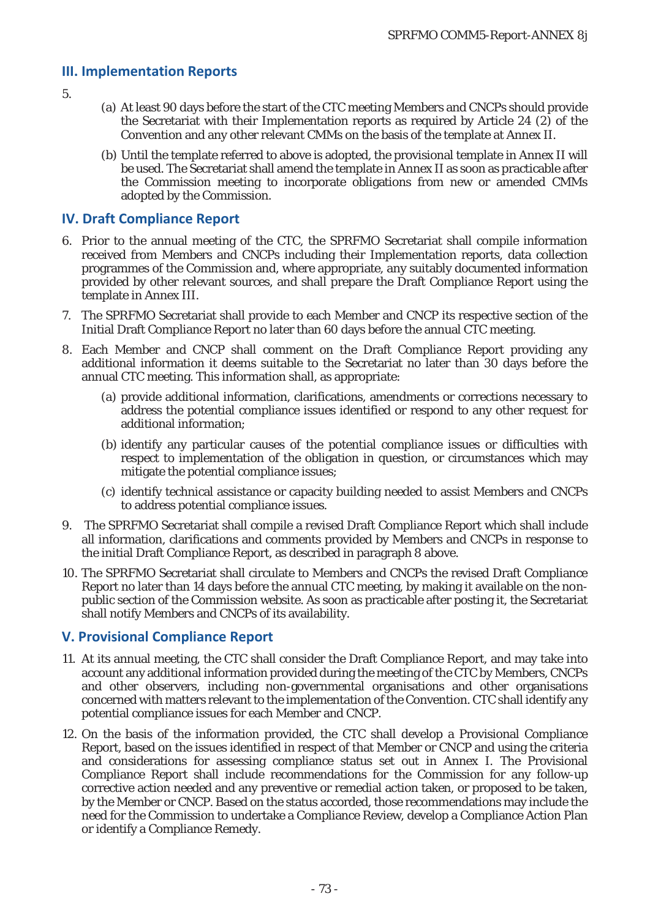### **III. Implementation Reports**

- 5.
- (a) At least 90 days before the start of the CTC meeting Members and CNCPs should provide the Secretariat with their Implementation reports as required by Article 24 (2) of the Convention and any other relevant CMMs on the basis of the template at Annex II.
- (b) Until the template referred to above is adopted, the provisional template in Annex II will be used. The Secretariat shall amend the template in Annex II as soon as practicable after the Commission meeting to incorporate obligations from new or amended CMMs adopted by the Commission.

### **IV. Draft Compliance Report**

- 6. Prior to the annual meeting of the CTC, the SPRFMO Secretariat shall compile information received from Members and CNCPs including their Implementation reports, data collection programmes of the Commission and, where appropriate, any suitably documented information provided by other relevant sources, and shall prepare the Draft Compliance Report using the template in Annex III.
- 7. The SPRFMO Secretariat shall provide to each Member and CNCP its respective section of the Initial Draft Compliance Report no later than 60 days before the annual CTC meeting.
- 8. Each Member and CNCP shall comment on the Draft Compliance Report providing any additional information it deems suitable to the Secretariat no later than 30 days before the annual CTC meeting. This information shall, as appropriate:
	- (a) provide additional information, clarifications, amendments or corrections necessary to address the potential compliance issues identified or respond to any other request for additional information;
	- (b) identify any particular causes of the potential compliance issues or difficulties with respect to implementation of the obligation in question, or circumstances which may mitigate the potential compliance issues;
	- (c) identify technical assistance or capacity building needed to assist Members and CNCPs to address potential compliance issues.
- 9. The SPRFMO Secretariat shall compile a revised Draft Compliance Report which shall include all information, clarifications and comments provided by Members and CNCPs in response to the initial Draft Compliance Report, as described in paragraph 8 above.
- 10. The SPRFMO Secretariat shall circulate to Members and CNCPs the revised Draft Compliance Report no later than 14 days before the annual CTC meeting, by making it available on the nonpublic section of the Commission website. As soon as practicable after posting it, the Secretariat shall notify Members and CNCPs of its availability.

## **V. Provisional Compliance Report**

- 11. At its annual meeting, the CTC shall consider the Draft Compliance Report, and may take into account any additional information provided during the meeting of the CTC by Members, CNCPs and other observers, including non-governmental organisations and other organisations concerned with matters relevant to the implementation of the Convention. CTC shall identify any potential compliance issues for each Member and CNCP.
- 12. On the basis of the information provided, the CTC shall develop a Provisional Compliance Report, based on the issues identified in respect of that Member or CNCP and using the criteria and considerations for assessing compliance status set out in Annex I. The Provisional Compliance Report shall include recommendations for the Commission for any follow-up corrective action needed and any preventive or remedial action taken, or proposed to be taken, by the Member or CNCP. Based on the status accorded, those recommendations may include the need for the Commission to undertake a Compliance Review, develop a Compliance Action Plan or identify a Compliance Remedy.